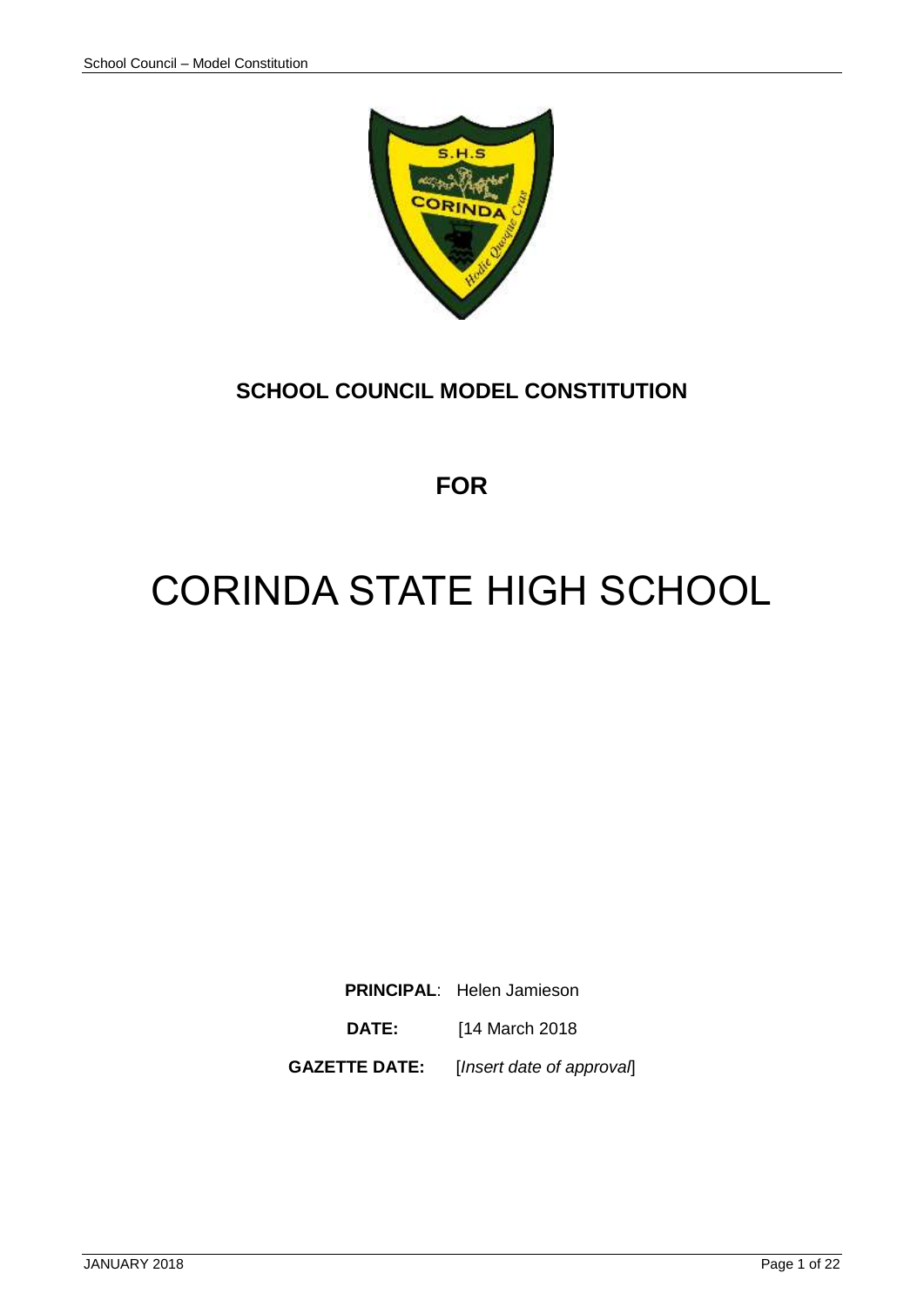

# **SCHOOL COUNCIL MODEL CONSTITUTION**

**FOR**

# CORINDA STATE HIGH SCHOOL

**PRINCIPAL**: Helen Jamieson

**DATE:** [14 March 2018

**GAZETTE DATE:** [*Insert date of approval*]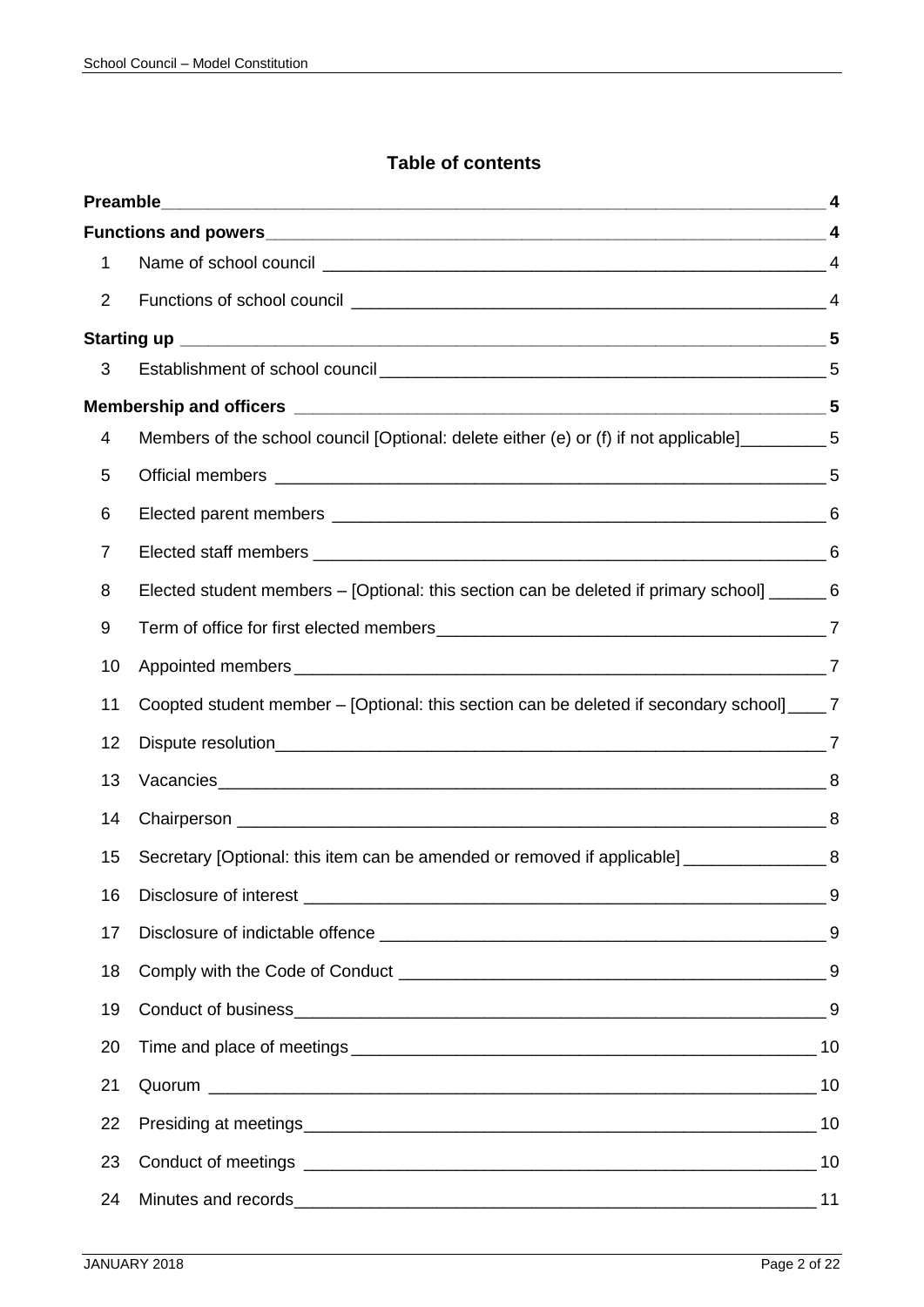# **Table of contents**

| 1              |                                                                                                  |  |
|----------------|--------------------------------------------------------------------------------------------------|--|
| $\overline{2}$ |                                                                                                  |  |
|                |                                                                                                  |  |
| 3              |                                                                                                  |  |
|                |                                                                                                  |  |
| 4              | Members of the school council [Optional: delete either (e) or (f) if not applicable]___________5 |  |
| 5              |                                                                                                  |  |
| 6              |                                                                                                  |  |
| $\overline{7}$ |                                                                                                  |  |
| 8              | Elected student members – [Optional: this section can be deleted if primary school] ______ 6     |  |
| 9              |                                                                                                  |  |
| 10             |                                                                                                  |  |
| 11             | Coopted student member – [Optional: this section can be deleted if secondary school] ____ 7      |  |
| 12             |                                                                                                  |  |
| 13             |                                                                                                  |  |
| 14             |                                                                                                  |  |
| 15             | Secretary [Optional: this item can be amended or removed if applicable] _________________8       |  |
| 16             |                                                                                                  |  |
| 17             |                                                                                                  |  |
| 18             |                                                                                                  |  |
| 19             |                                                                                                  |  |
| 20             |                                                                                                  |  |
| 21             |                                                                                                  |  |
| 22             |                                                                                                  |  |
| 23             |                                                                                                  |  |
| 24             |                                                                                                  |  |
|                |                                                                                                  |  |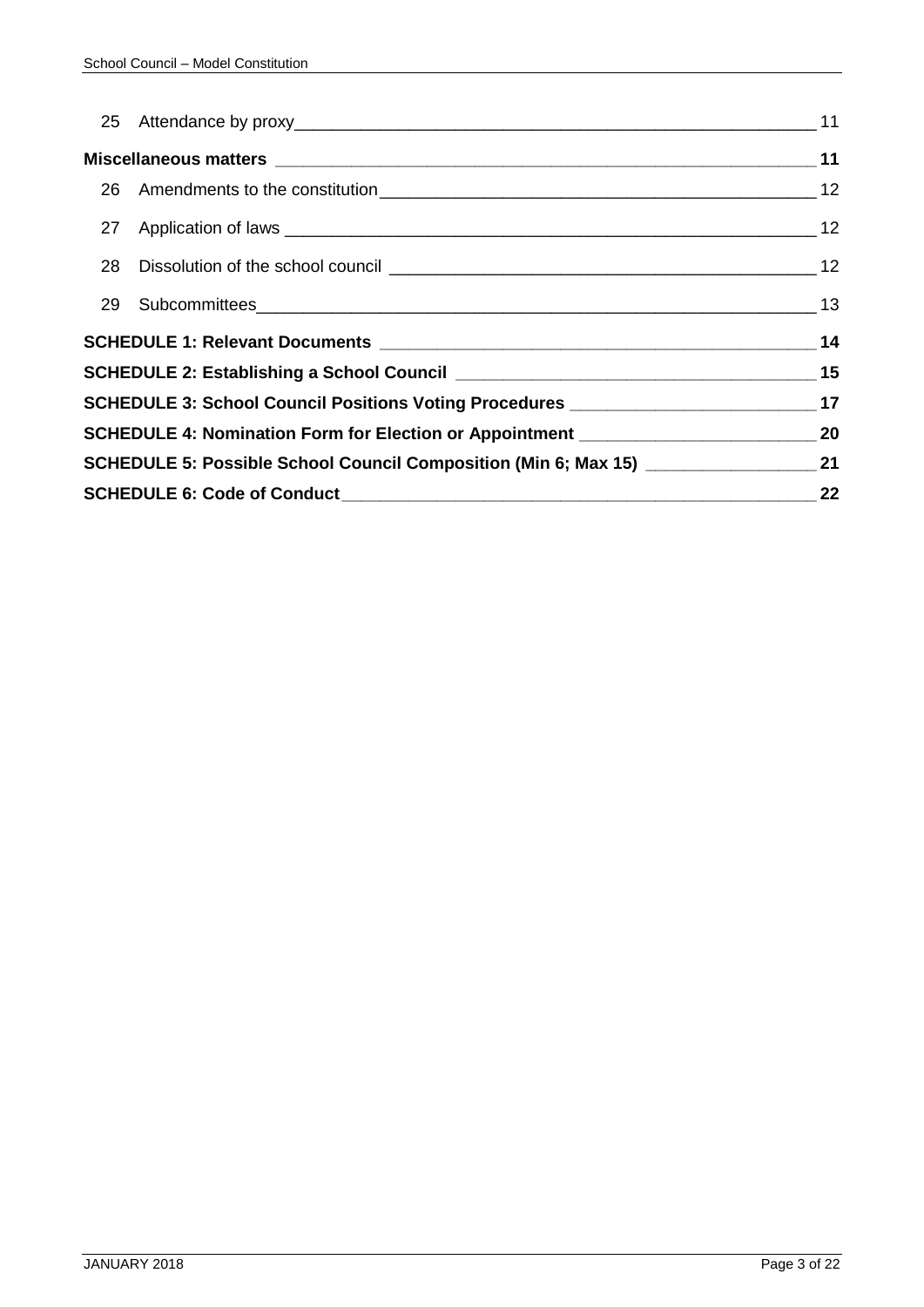|  | SCHEDULE 3: School Council Positions Voting Procedures __________________________ 17 |    |  |  |  |  |  |
|--|--------------------------------------------------------------------------------------|----|--|--|--|--|--|
|  | SCHEDULE 4: Nomination Form for Election or Appointment _________________________ 20 |    |  |  |  |  |  |
|  |                                                                                      |    |  |  |  |  |  |
|  |                                                                                      | 22 |  |  |  |  |  |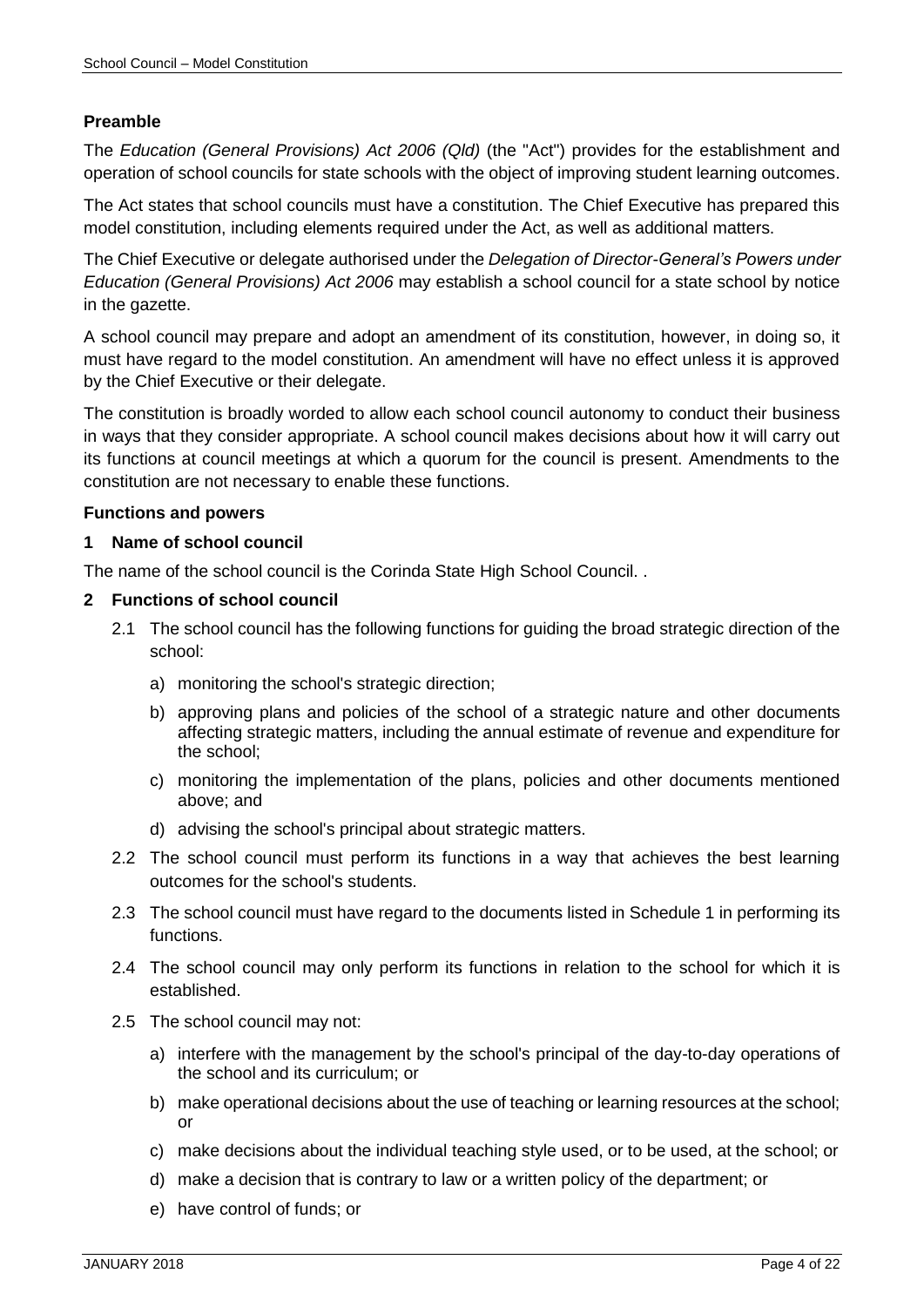#### <span id="page-3-0"></span>**Preamble**

The *Education (General Provisions) Act 2006 (Qld)* (the "Act") provides for the establishment and operation of school councils for state schools with the object of improving student learning outcomes.

The Act states that school councils must have a constitution. The Chief Executive has prepared this model constitution, including elements required under the Act, as well as additional matters.

The Chief Executive or delegate authorised under the *Delegation of Director-General's Powers under Education (General Provisions) Act 2006* may establish a school council for a state school by notice in the gazette.

<span id="page-3-4"></span>A school council may prepare and adopt an amendment of its constitution, however, in doing so, it must have regard to the model constitution. An amendment will have no effect unless it is approved by the Chief Executive or their delegate.

The constitution is broadly worded to allow each school council autonomy to conduct their business in ways that they consider appropriate. A school council makes decisions about how it will carry out its functions at council meetings at which a quorum for the council is present. Amendments to the constitution are not necessary to enable these functions.

#### <span id="page-3-1"></span>**Functions and powers**

#### <span id="page-3-2"></span>**1 Name of school council**

The name of the school council is the Corinda State High School Council. .

#### <span id="page-3-3"></span>**2 Functions of school council**

- 2.1 The school council has the following functions for guiding the broad strategic direction of the school:
	- a) monitoring the school's strategic direction;
	- b) approving plans and policies of the school of a strategic nature and other documents affecting strategic matters, including the annual estimate of revenue and expenditure for the school;
	- c) monitoring the implementation of the plans, policies and other documents mentioned above; and
	- d) advising the school's principal about strategic matters.
- 2.2 The school council must perform its functions in a way that achieves the best learning outcomes for the school's students.
- 2.3 The school council must have regard to the documents listed in Schedule 1 in performing its functions.
- 2.4 The school council may only perform its functions in relation to the school for which it is established.
- 2.5 The school council may not:
	- a) interfere with the management by the school's principal of the day-to-day operations of the school and its curriculum; or
	- b) make operational decisions about the use of teaching or learning resources at the school; or
	- c) make decisions about the individual teaching style used, or to be used, at the school; or
	- d) make a decision that is contrary to law or a written policy of the department; or
	- e) have control of funds; or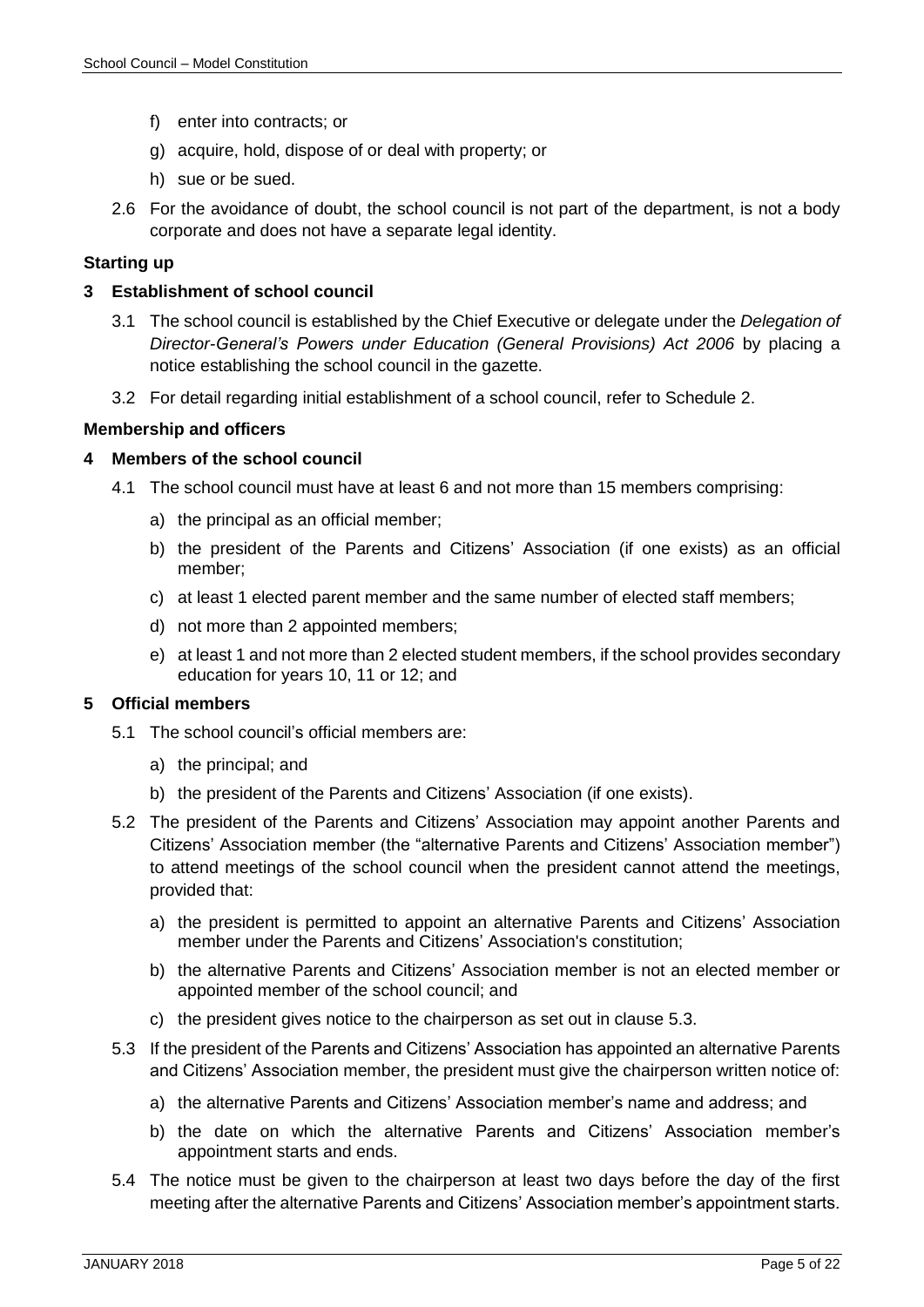- f) enter into contracts; or
- g) acquire, hold, dispose of or deal with property; or
- h) sue or be sued.
- 2.6 For the avoidance of doubt, the school council is not part of the department, is not a body corporate and does not have a separate legal identity.

#### <span id="page-4-0"></span>**Starting up**

#### <span id="page-4-1"></span>**3 Establishment of school council**

- 3.1 The school council is established by the Chief Executive or delegate under the *Delegation of Director-General's Powers under Education (General Provisions) Act 2006* by placing a notice establishing the school council in the gazette.
- 3.2 For detail regarding initial establishment of a school council, refer to Schedule 2.

#### <span id="page-4-2"></span>**Membership and officers**

#### <span id="page-4-6"></span><span id="page-4-3"></span>**4 Members of the school council**

- 4.1 The school council must have at least 6 and not more than 15 members comprising:
	- a) the principal as an official member;
	- b) the president of the Parents and Citizens' Association (if one exists) as an official member;
	- c) at least 1 elected parent member and the same number of elected staff members;
	- d) not more than 2 appointed members;
	- e) at least 1 and not more than 2 elected student members, if the school provides secondary education for years 10, 11 or 12; and

#### <span id="page-4-4"></span>**5 Official members**

- 5.1 The school council's official members are:
	- a) the principal; and
	- b) the president of the Parents and Citizens' Association (if one exists).
- <span id="page-4-7"></span>5.2 The president of the Parents and Citizens' Association may appoint another Parents and Citizens' Association member (the "alternative Parents and Citizens' Association member") to attend meetings of the school council when the president cannot attend the meetings, provided that:
	- a) the president is permitted to appoint an alternative Parents and Citizens' Association member under the Parents and Citizens' Association's constitution;
	- b) the alternative Parents and Citizens' Association member is not an elected member or appointed member of the school council; and
	- c) the president gives notice to the chairperson as set out in clause [5.3.](#page-4-5)
- <span id="page-4-5"></span>5.3 If the president of the Parents and Citizens' Association has appointed an alternative Parents and Citizens' Association member, the president must give the chairperson written notice of:
	- a) the alternative Parents and Citizens' Association member's name and address; and
	- b) the date on which the alternative Parents and Citizens' Association member's appointment starts and ends.
- 5.4 The notice must be given to the chairperson at least two days before the day of the first meeting after the alternative Parents and Citizens' Association member's appointment starts.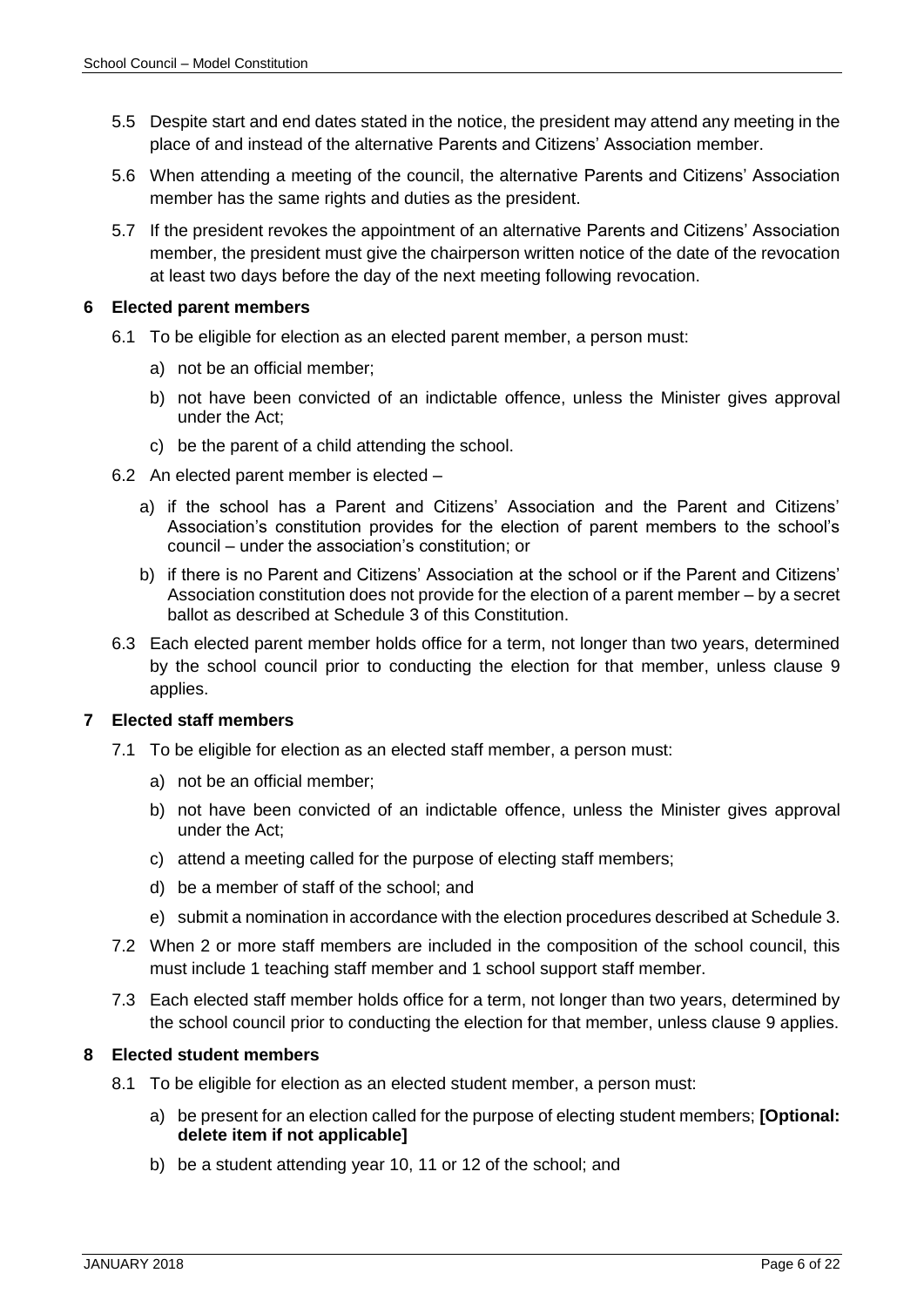- 5.5 Despite start and end dates stated in the notice, the president may attend any meeting in the place of and instead of the alternative Parents and Citizens' Association member.
- 5.6 When attending a meeting of the council, the alternative Parents and Citizens' Association member has the same rights and duties as the president.
- 5.7 If the president revokes the appointment of an alternative Parents and Citizens' Association member, the president must give the chairperson written notice of the date of the revocation at least two days before the day of the next meeting following revocation.

#### <span id="page-5-0"></span>**6 Elected parent members**

- 6.1 To be eligible for election as an elected parent member, a person must:
	- a) not be an official member;
	- b) not have been convicted of an indictable offence, unless the Minister gives approval under the Act;
	- c) be the parent of a child attending the school.
- 6.2 An elected parent member is elected
	- a) if the school has a Parent and Citizens' Association and the Parent and Citizens' Association's constitution provides for the election of parent members to the school's council – under the association's constitution; or
	- b) if there is no Parent and Citizens' Association at the school or if the Parent and Citizens' Association constitution does not provide for the election of a parent member – by a secret ballot as described at Schedule 3 of this Constitution.
- 6.3 Each elected parent member holds office for a term, not longer than two years, determined by the school council prior to conducting the election for that member, unless clause 9 applies.

# <span id="page-5-1"></span>**7 Elected staff members**

- 7.1 To be eligible for election as an elected staff member, a person must:
	- a) not be an official member;
	- b) not have been convicted of an indictable offence, unless the Minister gives approval under the Act;
	- c) attend a meeting called for the purpose of electing staff members;
	- d) be a member of staff of the school; and
	- e) submit a nomination in accordance with the election procedures described at Schedule 3.
- 7.2 When 2 or more staff members are included in the composition of the school council, this must include 1 teaching staff member and 1 school support staff member.
- <span id="page-5-3"></span>7.3 Each elected staff member holds office for a term, not longer than two years, determined by the school council prior to conducting the election for that member, unless clause 9 applies.

# <span id="page-5-2"></span>**8 Elected student members**

- 8.1 To be eligible for election as an elected student member, a person must:
	- a) be present for an election called for the purpose of electing student members; **[Optional: delete item if not applicable]**
	- b) be a student attending year 10, 11 or 12 of the school; and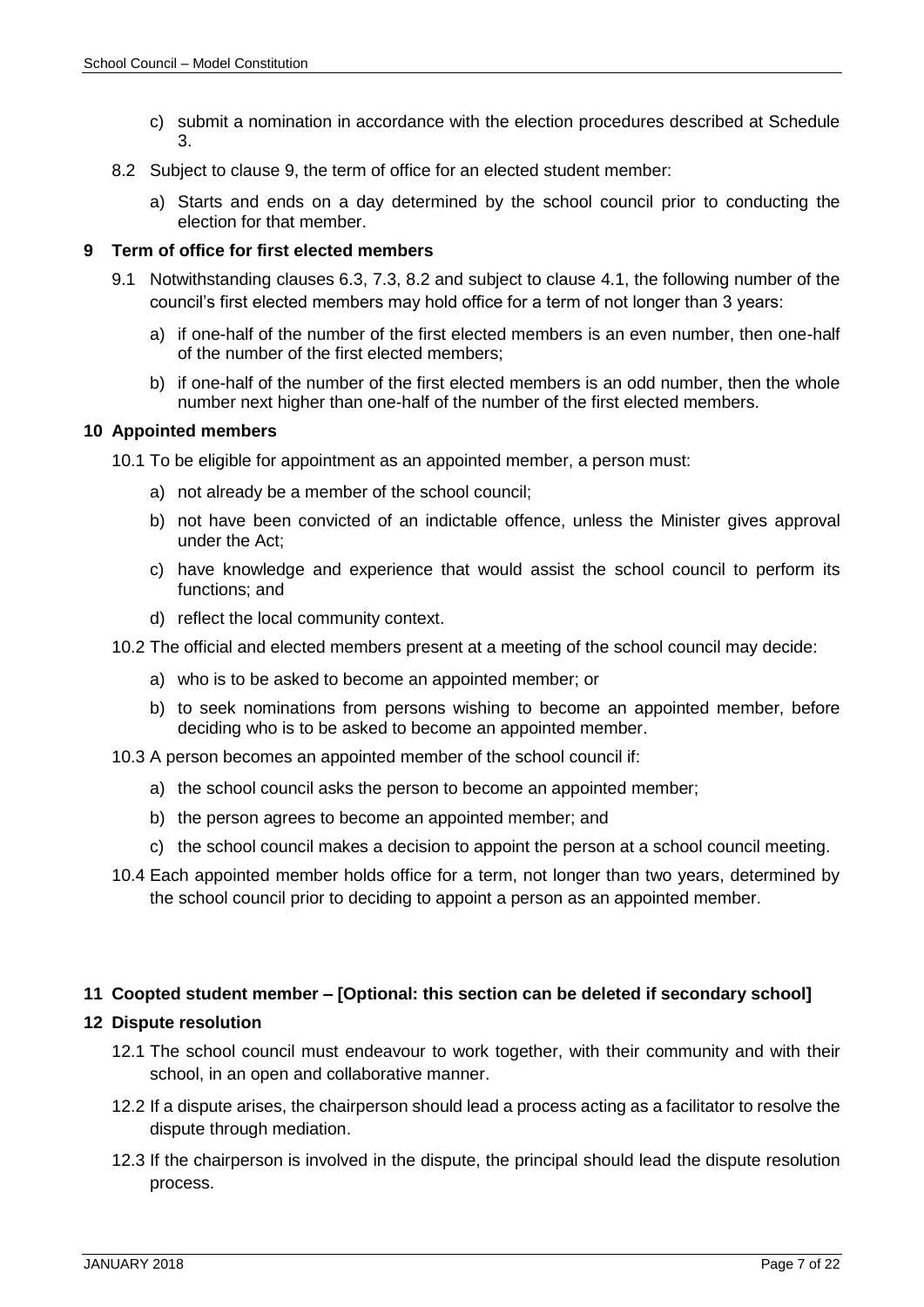- c) submit a nomination in accordance with the election procedures described at Schedule 3.
- <span id="page-6-4"></span>8.2 Subject to clause 9, the term of office for an elected student member:
	- a) Starts and ends on a day determined by the school council prior to conducting the election for that member.

#### <span id="page-6-0"></span>**9 Term of office for first elected members**

- 9.1 Notwithstanding clauses 6.3, [7.3,](#page-5-3) [8.2](#page-6-4) and subject to clause [4.1,](#page-4-6) the following number of the council's first elected members may hold office for a term of not longer than 3 years:
	- a) if one-half of the number of the first elected members is an even number, then one-half of the number of the first elected members;
	- b) if one-half of the number of the first elected members is an odd number, then the whole number next higher than one-half of the number of the first elected members.

#### <span id="page-6-1"></span>**10 Appointed members**

10.1 To be eligible for appointment as an appointed member, a person must:

- a) not already be a member of the school council;
- b) not have been convicted of an indictable offence, unless the Minister gives approval under the Act;
- c) have knowledge and experience that would assist the school council to perform its functions; and
- d) reflect the local community context.
- 10.2 The official and elected members present at a meeting of the school council may decide:
	- a) who is to be asked to become an appointed member; or
	- b) to seek nominations from persons wishing to become an appointed member, before deciding who is to be asked to become an appointed member.
- 10.3 A person becomes an appointed member of the school council if:
	- a) the school council asks the person to become an appointed member;
	- b) the person agrees to become an appointed member; and
	- c) the school council makes a decision to appoint the person at a school council meeting.
- 10.4 Each appointed member holds office for a term, not longer than two years, determined by the school council prior to deciding to appoint a person as an appointed member.

#### <span id="page-6-2"></span>**11 Coopted student member – [Optional: this section can be deleted if secondary school]**

#### <span id="page-6-3"></span>**12 Dispute resolution**

- 12.1 The school council must endeavour to work together, with their community and with their school, in an open and collaborative manner.
- 12.2 If a dispute arises, the chairperson should lead a process acting as a facilitator to resolve the dispute through mediation.
- 12.3 If the chairperson is involved in the dispute, the principal should lead the dispute resolution process.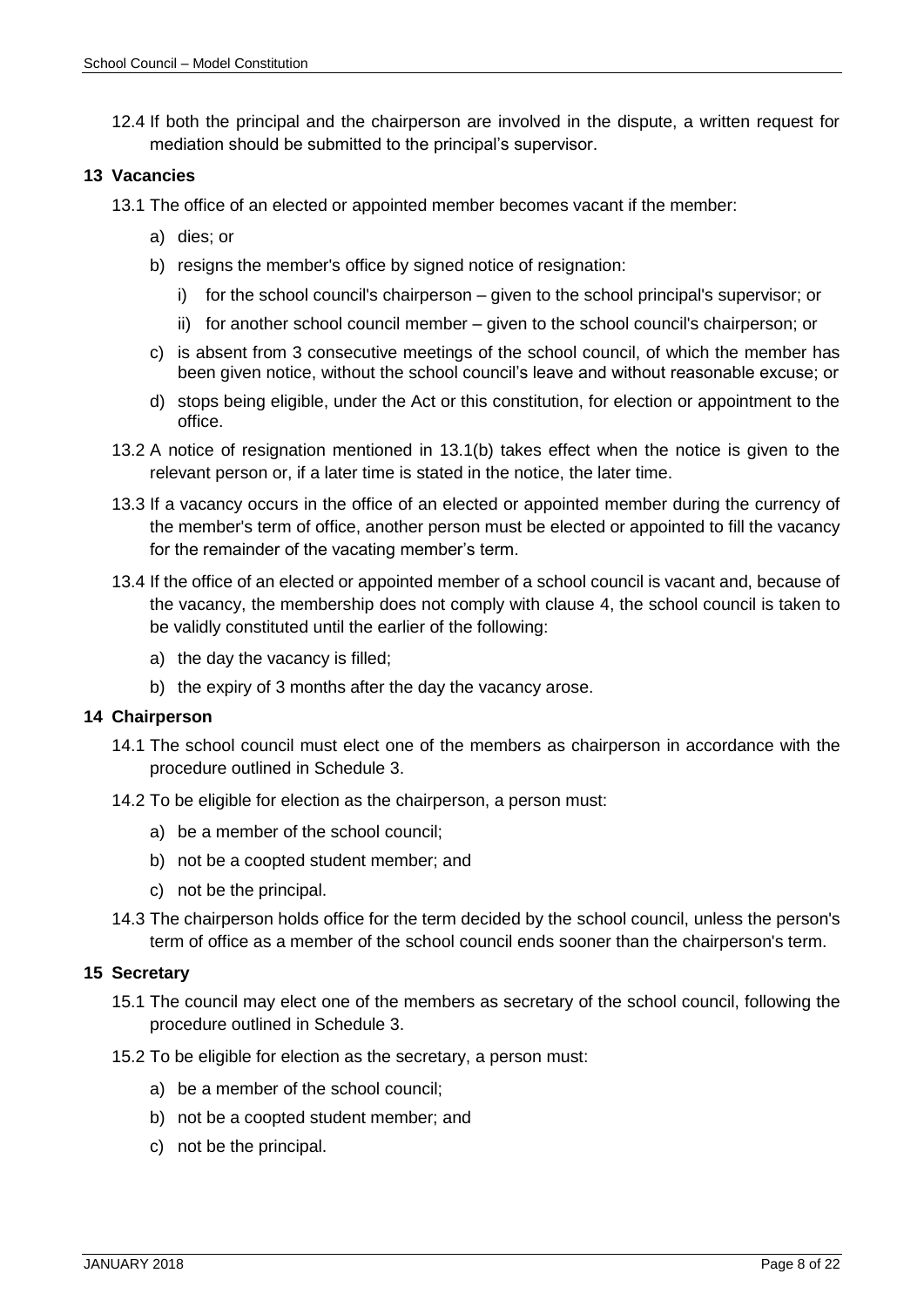12.4 If both the principal and the chairperson are involved in the dispute, a written request for mediation should be submitted to the principal's supervisor.

#### <span id="page-7-0"></span>**13 Vacancies**

- 13.1 The office of an elected or appointed member becomes vacant if the member:
	- a) dies; or
	- b) resigns the member's office by signed notice of resignation:
		- i) for the school council's chairperson given to the school principal's supervisor; or
		- ii) for another school council member given to the school council's chairperson; or
	- c) is absent from 3 consecutive meetings of the school council, of which the member has been given notice, without the school council's leave and without reasonable excuse; or
	- d) stops being eligible, under the Act or this constitution, for election or appointment to the office.
- <span id="page-7-3"></span>13.2 A notice of resignation mentioned in 13.1(b) takes effect when the notice is given to the relevant person or, if a later time is stated in the notice, the later time.
- 13.3 If a vacancy occurs in the office of an elected or appointed member during the currency of the member's term of office, another person must be elected or appointed to fill the vacancy for the remainder of the vacating member's term.
- 13.4 If the office of an elected or appointed member of a school council is vacant and, because of the vacancy, the membership does not comply with clause 4, the school council is taken to be validly constituted until the earlier of the following:
	- a) the day the vacancy is filled;
	- b) the expiry of 3 months after the day the vacancy arose.

#### <span id="page-7-1"></span>**14 Chairperson**

- 14.1 The school council must elect one of the members as chairperson in accordance with the procedure outlined in Schedule 3.
- 14.2 To be eligible for election as the chairperson, a person must:
	- a) be a member of the school council;
	- b) not be a coopted student member; and
	- c) not be the principal.
- 14.3 The chairperson holds office for the term decided by the school council, unless the person's term of office as a member of the school council ends sooner than the chairperson's term.

#### <span id="page-7-2"></span>**15 Secretary**

- 15.1 The council may elect one of the members as secretary of the school council, following the procedure outlined in Schedule 3.
- 15.2 To be eligible for election as the secretary, a person must:
	- a) be a member of the school council;
	- b) not be a coopted student member; and
	- c) not be the principal.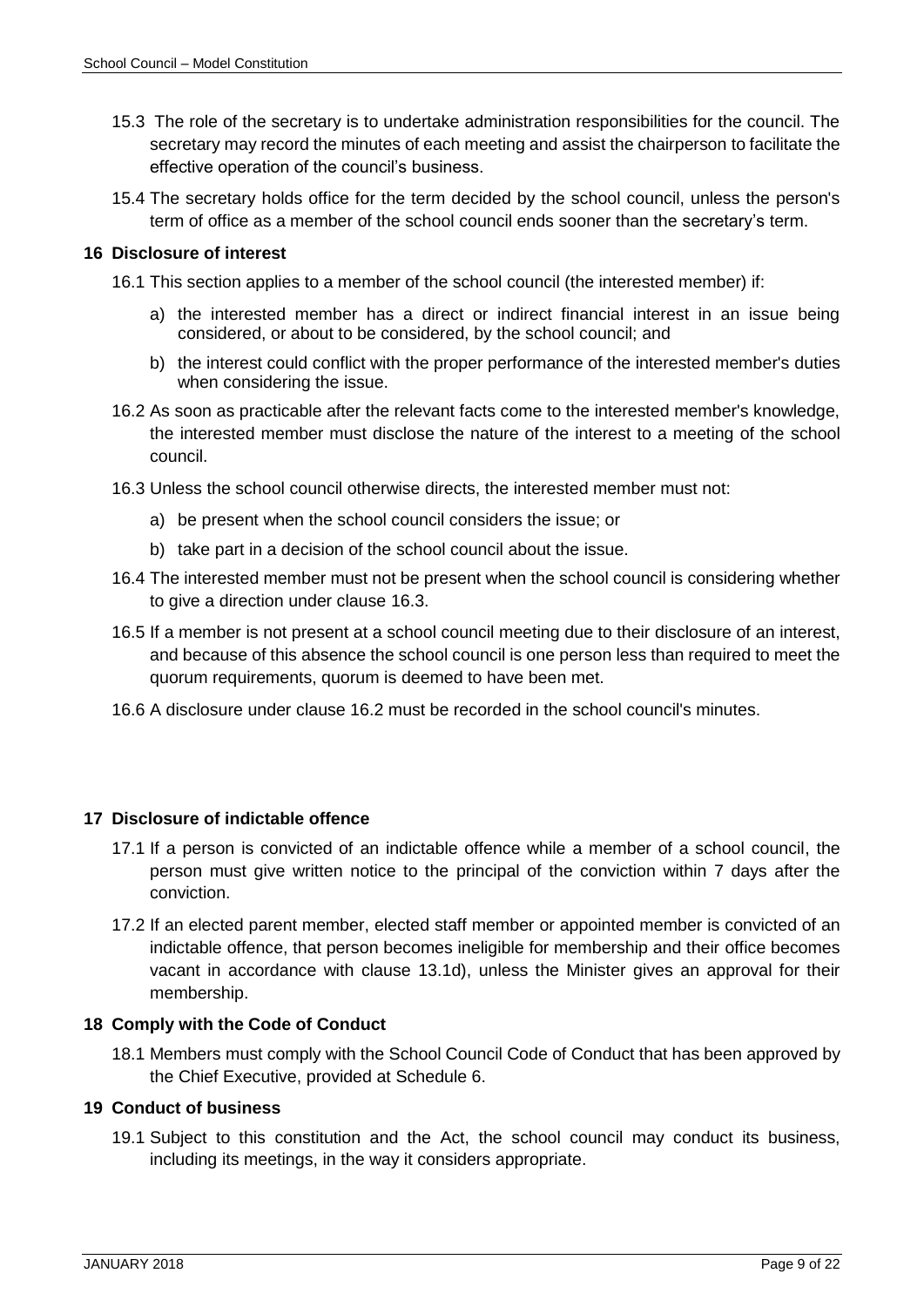- 15.3 The role of the secretary is to undertake administration responsibilities for the council. The secretary may record the minutes of each meeting and assist the chairperson to facilitate the effective operation of the council's business.
- 15.4 The secretary holds office for the term decided by the school council, unless the person's term of office as a member of the school council ends sooner than the secretary's term.

#### <span id="page-8-0"></span>**16 Disclosure of interest**

- 16.1 This section applies to a member of the school council (the interested member) if:
	- a) the interested member has a direct or indirect financial interest in an issue being considered, or about to be considered, by the school council; and
	- b) the interest could conflict with the proper performance of the interested member's duties when considering the issue.
- <span id="page-8-4"></span>16.2 As soon as practicable after the relevant facts come to the interested member's knowledge, the interested member must disclose the nature of the interest to a meeting of the school council.
- 16.3 Unless the school council otherwise directs, the interested member must not:
	- a) be present when the school council considers the issue; or
	- b) take part in a decision of the school council about the issue.
- 16.4 The interested member must not be present when the school council is considering whether to give a direction under clause 16.3.
- 16.5 If a member is not present at a school council meeting due to their disclosure of an interest, and because of this absence the school council is one person less than required to meet the quorum requirements, quorum is deemed to have been met.
- 16.6 A disclosure under clause [16.2](#page-8-4) must be recorded in the school council's minutes.

# <span id="page-8-1"></span>**17 Disclosure of indictable offence**

- 17.1 If a person is convicted of an indictable offence while a member of a school council, the person must give written notice to the principal of the conviction within 7 days after the conviction.
- 17.2 If an elected parent member, elected staff member or appointed member is convicted of an indictable offence, that person becomes ineligible for membership and their office becomes vacant in accordance with clause [13.1d\),](#page-7-3) unless the Minister gives an approval for their membership.

# <span id="page-8-2"></span>**18 Comply with the Code of Conduct**

18.1 Members must comply with the School Council Code of Conduct that has been approved by the Chief Executive, provided at Schedule 6.

#### <span id="page-8-3"></span>**19 Conduct of business**

19.1 Subject to this constitution and the Act, the school council may conduct its business, including its meetings, in the way it considers appropriate.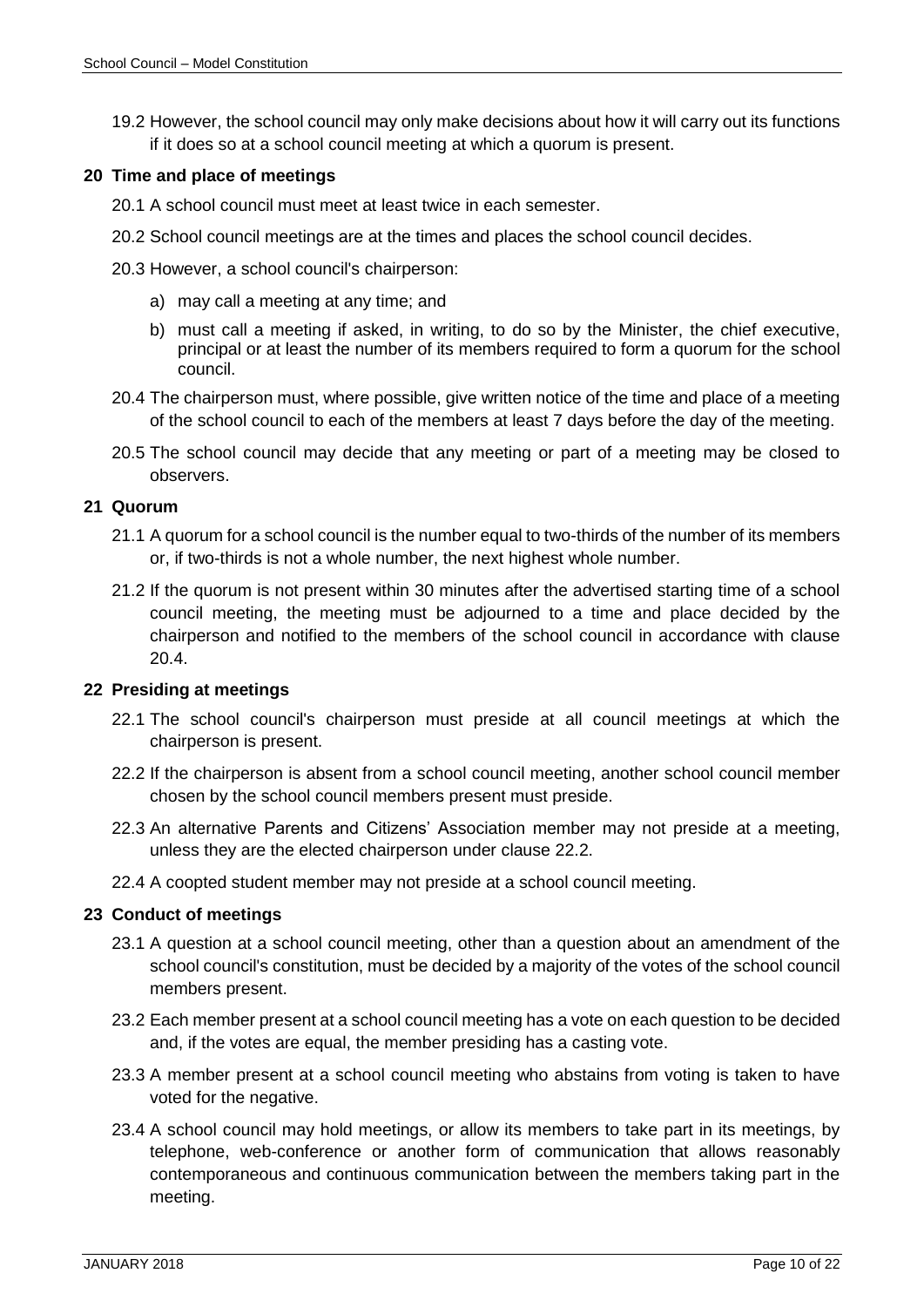19.2 However, the school council may only make decisions about how it will carry out its functions if it does so at a school council meeting at which a quorum is present.

#### <span id="page-9-0"></span>**20 Time and place of meetings**

- 20.1 A school council must meet at least twice in each semester.
- 20.2 School council meetings are at the times and places the school council decides.
- 20.3 However, a school council's chairperson:
	- a) may call a meeting at any time; and
	- b) must call a meeting if asked, in writing, to do so by the Minister, the chief executive, principal or at least the number of its members required to form a quorum for the school council.
- 20.4 The chairperson must, where possible, give written notice of the time and place of a meeting of the school council to each of the members at least 7 days before the day of the meeting.
- 20.5 The school council may decide that any meeting or part of a meeting may be closed to observers.

#### <span id="page-9-1"></span>**21 Quorum**

- 21.1 A quorum for a school council is the number equal to two-thirds of the number of its members or, if two-thirds is not a whole number, the next highest whole number.
- 21.2 If the quorum is not present within 30 minutes after the advertised starting time of a school council meeting, the meeting must be adjourned to a time and place decided by the chairperson and notified to the members of the school council in accordance with clause 20.4.

#### <span id="page-9-2"></span>**22 Presiding at meetings**

- 22.1 The school council's chairperson must preside at all council meetings at which the chairperson is present.
- <span id="page-9-4"></span>22.2 If the chairperson is absent from a school council meeting, another school council member chosen by the school council members present must preside.
- 22.3 An alternative Parents and Citizens' Association member may not preside at a meeting, unless they are the elected chairperson under clause [22.2.](#page-9-4)
- 22.4 A coopted student member may not preside at a school council meeting.

#### <span id="page-9-3"></span>**23 Conduct of meetings**

- 23.1 A question at a school council meeting, other than a question about an amendment of the school council's constitution, must be decided by a majority of the votes of the school council members present.
- 23.2 Each member present at a school council meeting has a vote on each question to be decided and, if the votes are equal, the member presiding has a casting vote.
- 23.3 A member present at a school council meeting who abstains from voting is taken to have voted for the negative.
- <span id="page-9-5"></span>23.4 A school council may hold meetings, or allow its members to take part in its meetings, by telephone, web-conference or another form of communication that allows reasonably contemporaneous and continuous communication between the members taking part in the meeting.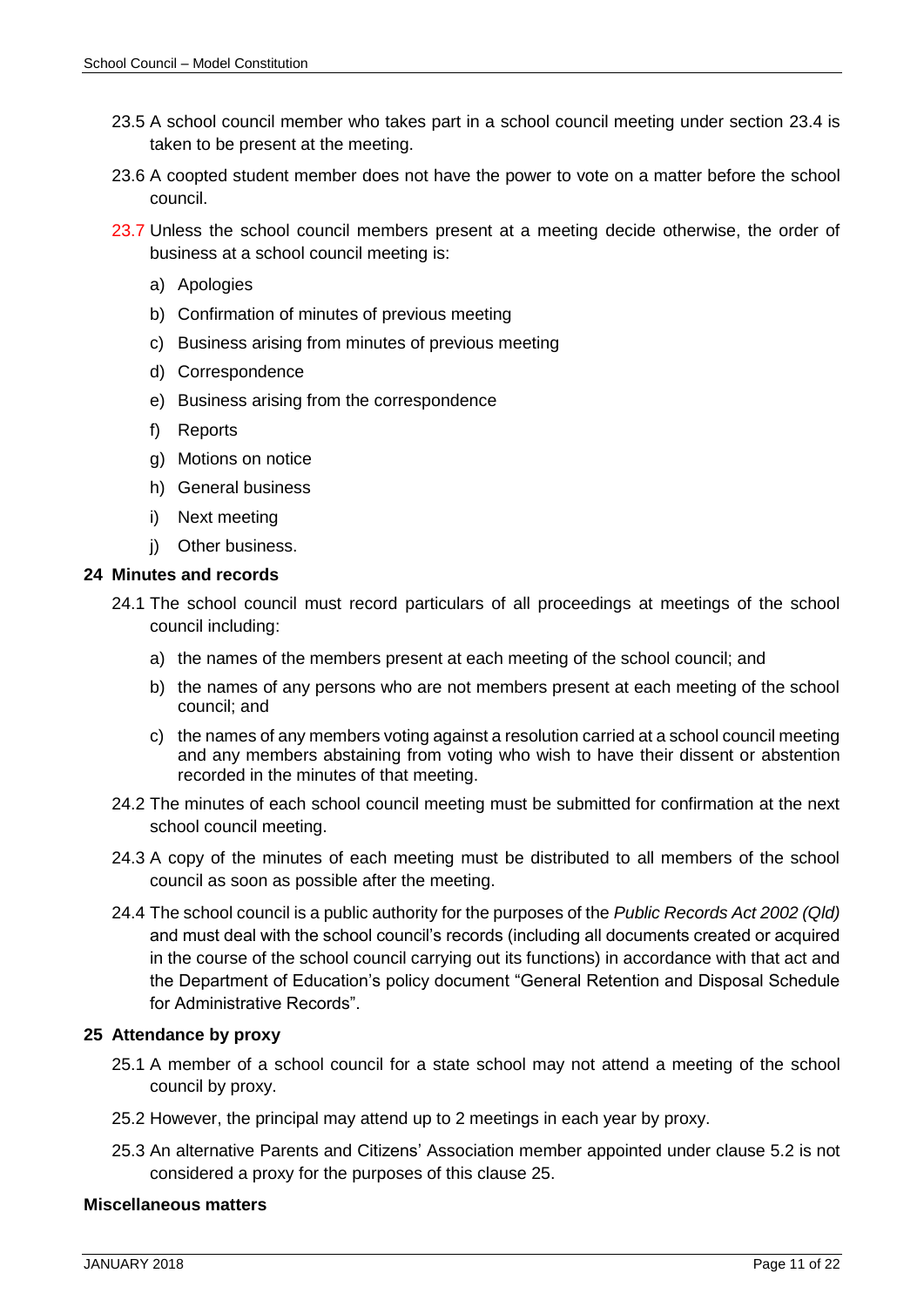- 23.5 A school council member who takes part in a school council meeting under section [23.4](#page-9-5) is taken to be present at the meeting.
- 23.6 A coopted student member does not have the power to vote on a matter before the school council.
- 23.7 Unless the school council members present at a meeting decide otherwise, the order of business at a school council meeting is:
	- a) Apologies
	- b) Confirmation of minutes of previous meeting
	- c) Business arising from minutes of previous meeting
	- d) Correspondence
	- e) Business arising from the correspondence
	- f) Reports
	- g) Motions on notice
	- h) General business
	- i) Next meeting
	- i) Other business.

#### <span id="page-10-0"></span>**24 Minutes and records**

- 24.1 The school council must record particulars of all proceedings at meetings of the school council including:
	- a) the names of the members present at each meeting of the school council; and
	- b) the names of any persons who are not members present at each meeting of the school council; and
	- c) the names of any members voting against a resolution carried at a school council meeting and any members abstaining from voting who wish to have their dissent or abstention recorded in the minutes of that meeting.
- 24.2 The minutes of each school council meeting must be submitted for confirmation at the next school council meeting.
- 24.3 A copy of the minutes of each meeting must be distributed to all members of the school council as soon as possible after the meeting.
- 24.4 The school council is a public authority for the purposes of the *Public Records Act 2002 (Qld)*  and must deal with the school council's records (including all documents created or acquired in the course of the school council carrying out its functions) in accordance with that act and the Department of Education's policy document "General Retention and Disposal Schedule for Administrative Records".

#### <span id="page-10-1"></span>**25 Attendance by proxy**

- 25.1 A member of a school council for a state school may not attend a meeting of the school council by proxy.
- 25.2 However, the principal may attend up to 2 meetings in each year by proxy.
- 25.3 An alternative Parents and Citizens' Association member appointed under clause [5.2](#page-4-7) is not considered a proxy for the purposes of this clause 25.

#### <span id="page-10-2"></span>**Miscellaneous matters**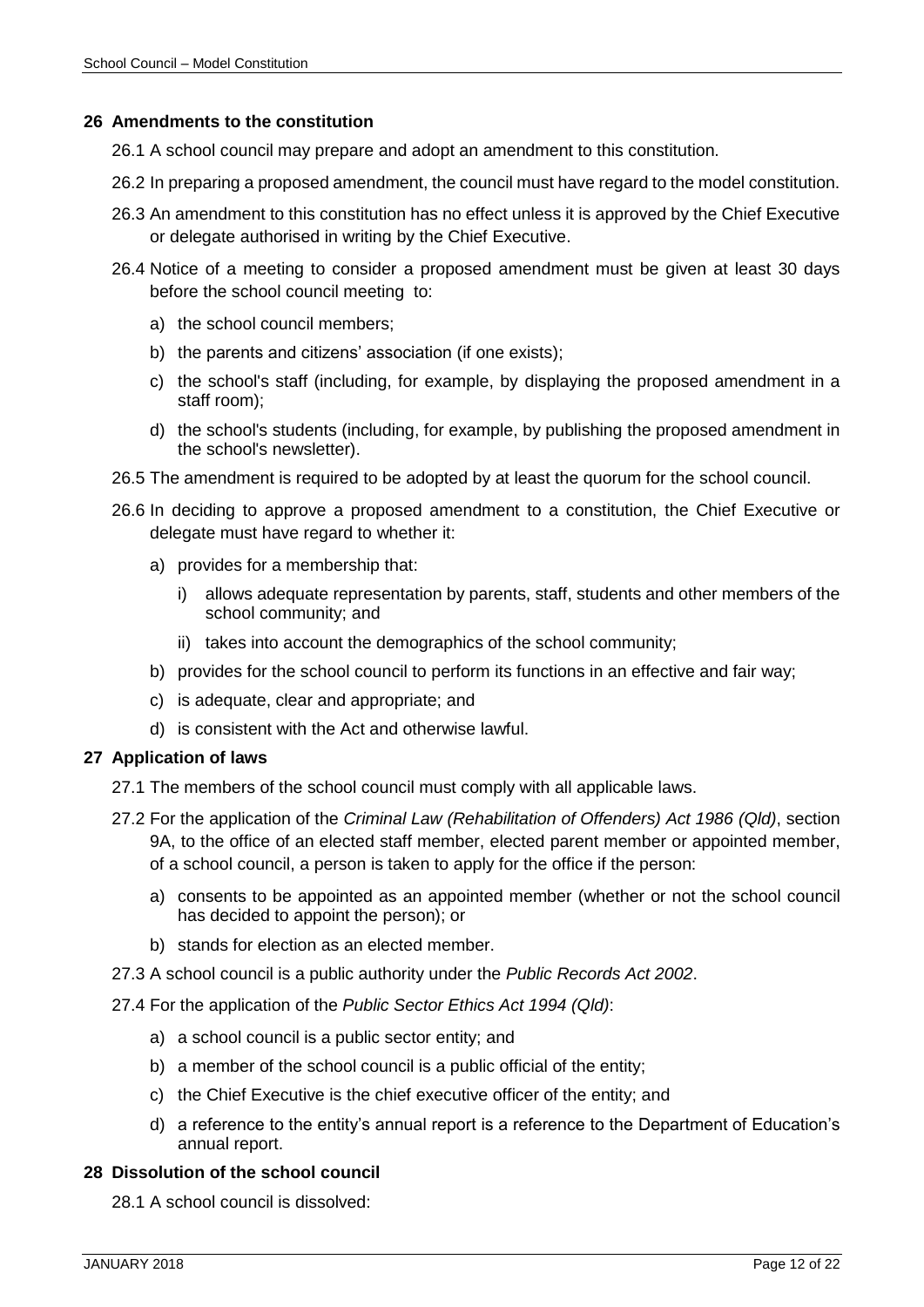#### <span id="page-11-0"></span>**26 Amendments to the constitution**

26.1 A school council may prepare and adopt an amendment to this constitution.

- 26.2 In preparing a proposed amendment, the council must have regard to the model constitution.
- 26.3 An amendment to this constitution has no effect unless it is approved by the Chief Executive or delegate authorised in writing by the Chief Executive.
- 26.4 Notice of a meeting to consider a proposed amendment must be given at least 30 days before the school council meeting to:
	- a) the school council members;
	- b) the parents and citizens' association (if one exists);
	- c) the school's staff (including, for example, by displaying the proposed amendment in a staff room);
	- d) the school's students (including, for example, by publishing the proposed amendment in the school's newsletter).
- 26.5 The amendment is required to be adopted by at least the quorum for the school council.
- 26.6 In deciding to approve a proposed amendment to a constitution, the Chief Executive or delegate must have regard to whether it:
	- a) provides for a membership that:
		- i) allows adequate representation by parents, staff, students and other members of the school community; and
		- ii) takes into account the demographics of the school community;
	- b) provides for the school council to perform its functions in an effective and fair way;
	- c) is adequate, clear and appropriate; and
	- d) is consistent with the Act and otherwise lawful.

#### <span id="page-11-1"></span>**27 Application of laws**

- 27.1 The members of the school council must comply with all applicable laws.
- 27.2 For the application of the *Criminal Law (Rehabilitation of Offenders) Act 1986 (Qld)*, section 9A, to the office of an elected staff member, elected parent member or appointed member, of a school council, a person is taken to apply for the office if the person:
	- a) consents to be appointed as an appointed member (whether or not the school council has decided to appoint the person); or
	- b) stands for election as an elected member.
- 27.3 A school council is a public authority under the *Public Records Act 2002*.
- 27.4 For the application of the *Public Sector Ethics Act 1994 (Qld)*:
	- a) a school council is a public sector entity; and
	- b) a member of the school council is a public official of the entity;
	- c) the Chief Executive is the chief executive officer of the entity; and
	- d) a reference to the entity's annual report is a reference to the Department of Education's annual report.

#### <span id="page-11-2"></span>**28 Dissolution of the school council**

28.1 A school council is dissolved: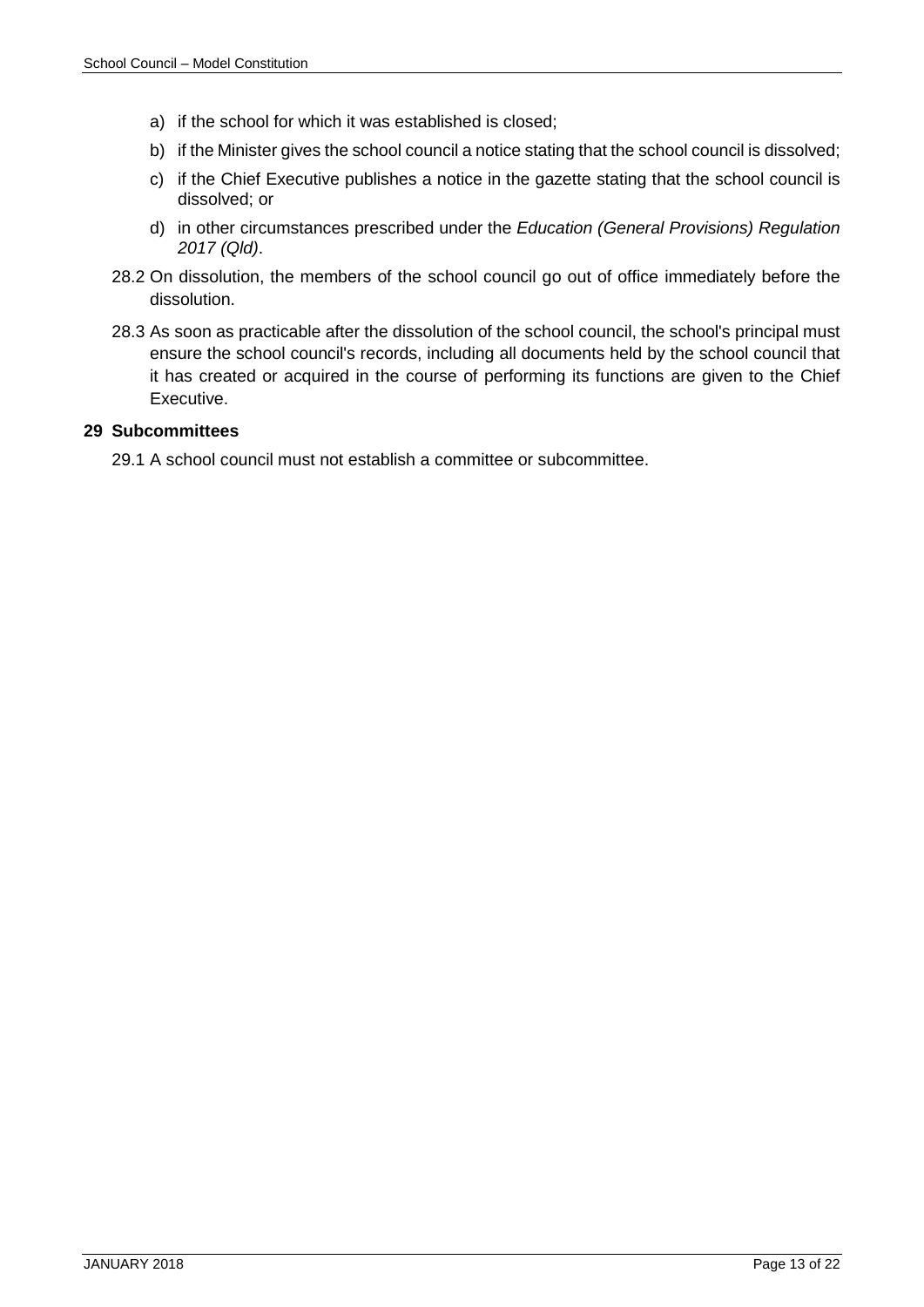- a) if the school for which it was established is closed;
- b) if the Minister gives the school council a notice stating that the school council is dissolved;
- c) if the Chief Executive publishes a notice in the gazette stating that the school council is dissolved; or
- d) in other circumstances prescribed under the *Education (General Provisions) Regulation 2017 (Qld)*.
- 28.2 On dissolution, the members of the school council go out of office immediately before the dissolution.
- 28.3 As soon as practicable after the dissolution of the school council, the school's principal must ensure the school council's records, including all documents held by the school council that it has created or acquired in the course of performing its functions are given to the Chief Executive.

#### <span id="page-12-0"></span>**29 Subcommittees**

29.1 A school council must not establish a committee or subcommittee.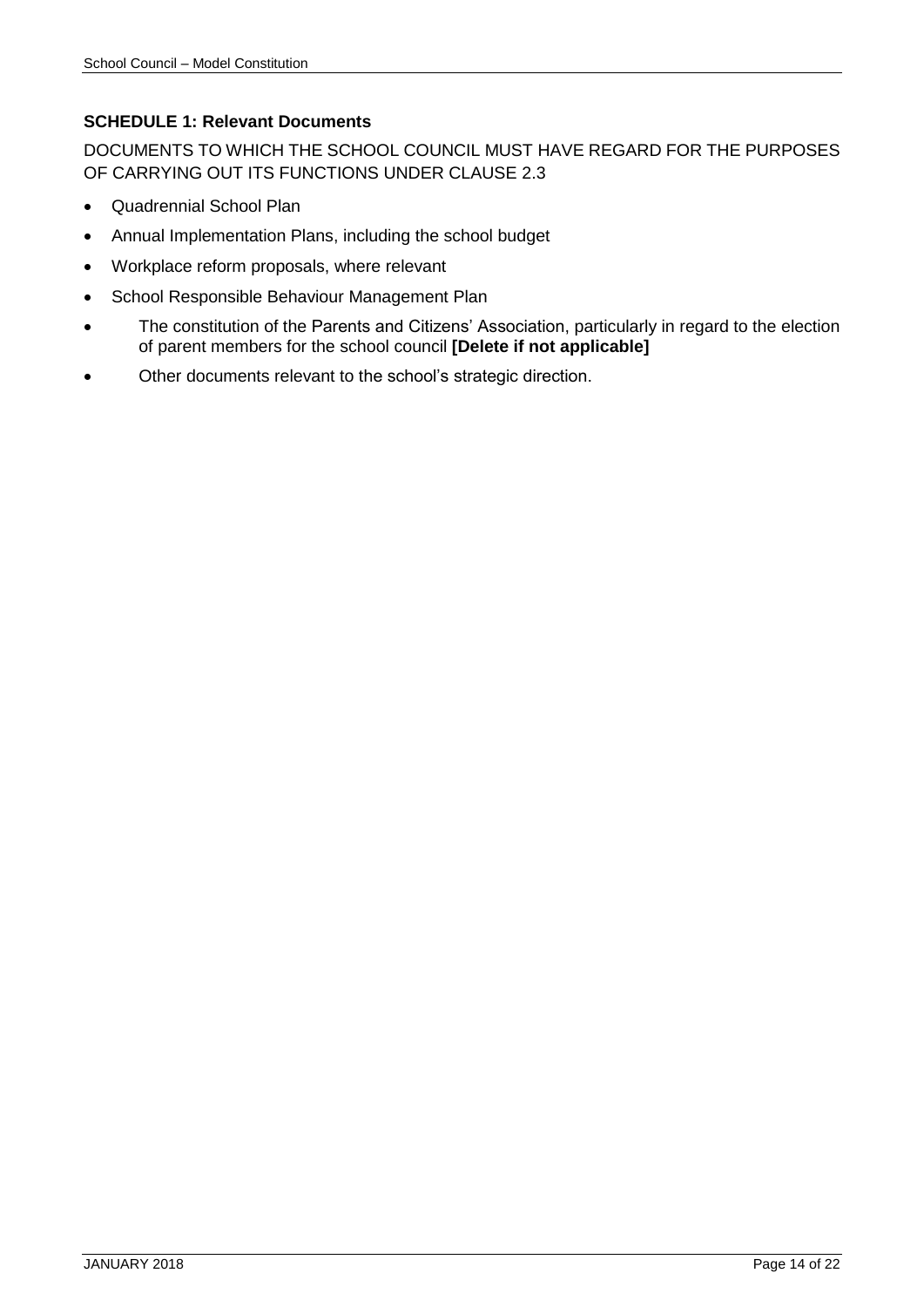# <span id="page-13-0"></span>**SCHEDULE 1: Relevant Documents**

DOCUMENTS TO WHICH THE SCHOOL COUNCIL MUST HAVE REGARD FOR THE PURPOSES OF CARRYING OUT ITS FUNCTIONS UNDER CLAUSE [2.3](#page-3-4)

- Quadrennial School Plan
- Annual Implementation Plans, including the school budget
- Workplace reform proposals, where relevant
- School Responsible Behaviour Management Plan
- The constitution of the Parents and Citizens' Association, particularly in regard to the election of parent members for the school council **[Delete if not applicable]**
- Other documents relevant to the school's strategic direction.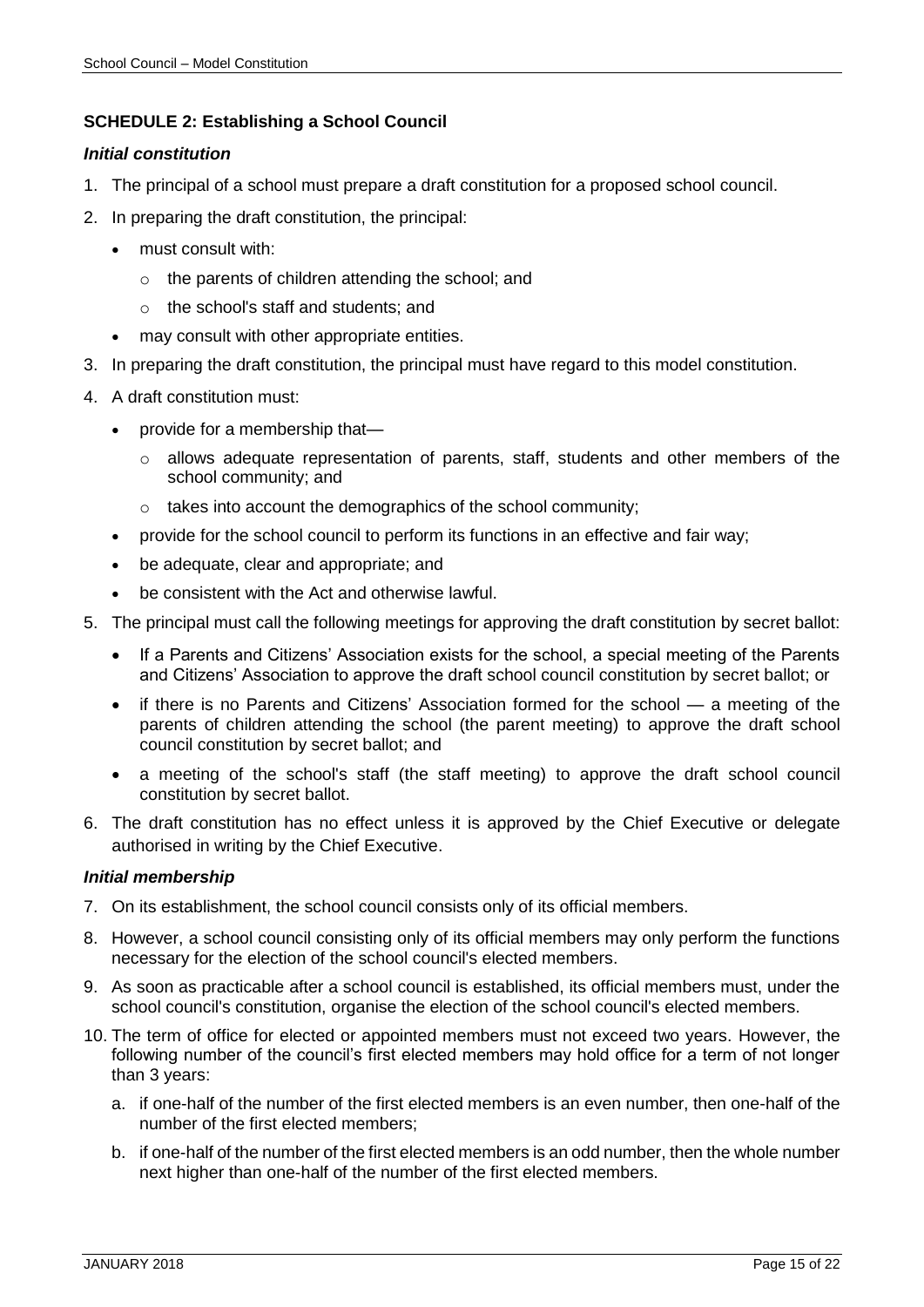# <span id="page-14-0"></span>**SCHEDULE 2: Establishing a School Council**

#### *Initial constitution*

- 1. The principal of a school must prepare a draft constitution for a proposed school council.
- 2. In preparing the draft constitution, the principal:
	- must consult with:
		- o the parents of children attending the school; and
		- o the school's staff and students; and
	- may consult with other appropriate entities.
- 3. In preparing the draft constitution, the principal must have regard to this model constitution.
- 4. A draft constitution must:
	- provide for a membership that—
		- $\circ$  allows adequate representation of parents, staff, students and other members of the school community; and
		- o takes into account the demographics of the school community;
	- provide for the school council to perform its functions in an effective and fair way;
	- be adequate, clear and appropriate; and
	- be consistent with the Act and otherwise lawful.
- 5. The principal must call the following meetings for approving the draft constitution by secret ballot:
	- If a Parents and Citizens' Association exists for the school, a special meeting of the Parents and Citizens' Association to approve the draft school council constitution by secret ballot; or
	- if there is no Parents and Citizens' Association formed for the school a meeting of the parents of children attending the school (the parent meeting) to approve the draft school council constitution by secret ballot; and
	- a meeting of the school's staff (the staff meeting) to approve the draft school council constitution by secret ballot.
- 6. The draft constitution has no effect unless it is approved by the Chief Executive or delegate authorised in writing by the Chief Executive.

#### *Initial membership*

- 7. On its establishment, the school council consists only of its official members.
- 8. However, a school council consisting only of its official members may only perform the functions necessary for the election of the school council's elected members.
- 9. As soon as practicable after a school council is established, its official members must, under the school council's constitution, organise the election of the school council's elected members.
- 10. The term of office for elected or appointed members must not exceed two years. However, the following number of the council's first elected members may hold office for a term of not longer than 3 years:
	- a. if one-half of the number of the first elected members is an even number, then one-half of the number of the first elected members;
	- b. if one-half of the number of the first elected members is an odd number, then the whole number next higher than one-half of the number of the first elected members.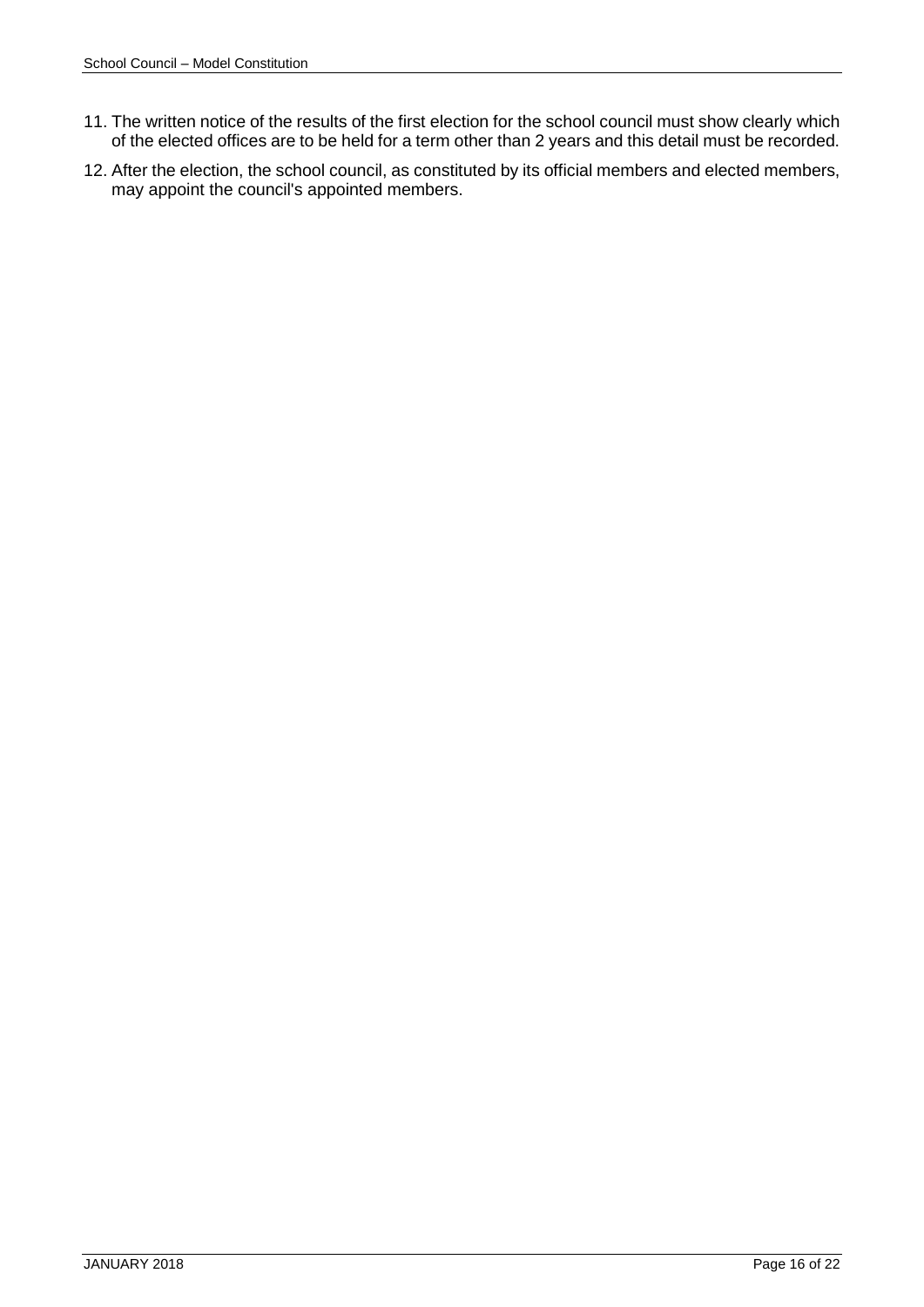- 11. The written notice of the results of the first election for the school council must show clearly which of the elected offices are to be held for a term other than 2 years and this detail must be recorded.
- 12. After the election, the school council, as constituted by its official members and elected members, may appoint the council's appointed members.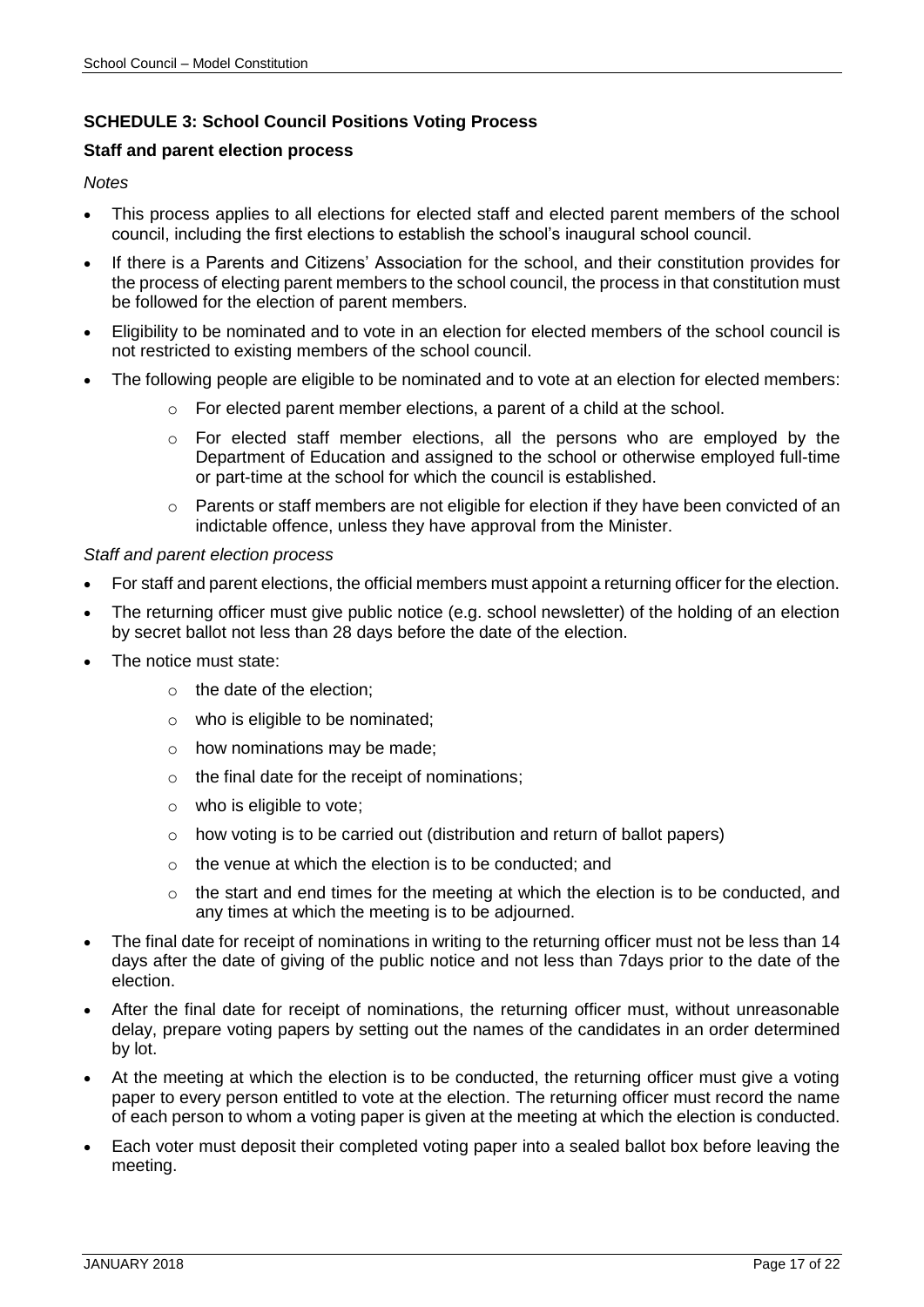# <span id="page-16-0"></span>**SCHEDULE 3: School Council Positions Voting Process**

#### **Staff and parent election process**

#### *Notes*

- This process applies to all elections for elected staff and elected parent members of the school council, including the first elections to establish the school's inaugural school council.
- If there is a Parents and Citizens' Association for the school, and their constitution provides for the process of electing parent members to the school council, the process in that constitution must be followed for the election of parent members.
- Eligibility to be nominated and to vote in an election for elected members of the school council is not restricted to existing members of the school council.
- The following people are eligible to be nominated and to vote at an election for elected members:
	- $\circ$  For elected parent member elections, a parent of a child at the school.
	- o For elected staff member elections, all the persons who are employed by the Department of Education and assigned to the school or otherwise employed full-time or part-time at the school for which the council is established.
	- $\circ$  Parents or staff members are not eligible for election if they have been convicted of an indictable offence, unless they have approval from the Minister.

#### *Staff and parent election process*

- For staff and parent elections, the official members must appoint a returning officer for the election.
- The returning officer must give public notice (e.g. school newsletter) of the holding of an election by secret ballot not less than 28 days before the date of the election.
- The notice must state:
	- o the date of the election;
	- o who is eligible to be nominated;
	- o how nominations may be made;
	- $\circ$  the final date for the receipt of nominations;
	- o who is eligible to vote;
	- o how voting is to be carried out (distribution and return of ballot papers)
	- $\circ$  the venue at which the election is to be conducted; and
	- $\circ$  the start and end times for the meeting at which the election is to be conducted, and any times at which the meeting is to be adjourned.
- The final date for receipt of nominations in writing to the returning officer must not be less than 14 days after the date of giving of the public notice and not less than 7days prior to the date of the election.
- After the final date for receipt of nominations, the returning officer must, without unreasonable delay, prepare voting papers by setting out the names of the candidates in an order determined by lot.
- At the meeting at which the election is to be conducted, the returning officer must give a voting paper to every person entitled to vote at the election. The returning officer must record the name of each person to whom a voting paper is given at the meeting at which the election is conducted.
- Each voter must deposit their completed voting paper into a sealed ballot box before leaving the meeting.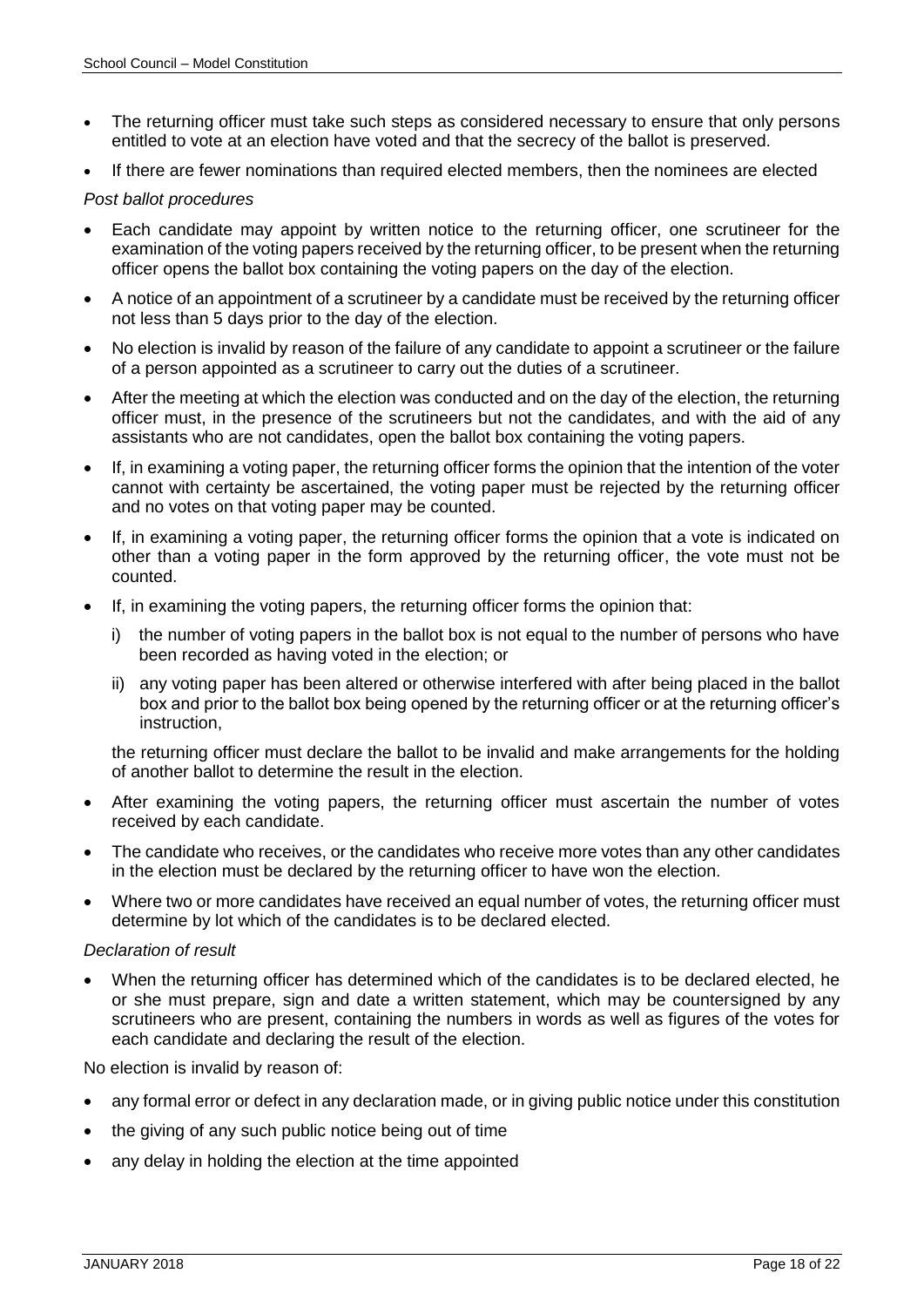- The returning officer must take such steps as considered necessary to ensure that only persons entitled to vote at an election have voted and that the secrecy of the ballot is preserved.
- If there are fewer nominations than required elected members, then the nominees are elected

#### *Post ballot procedures*

- Each candidate may appoint by written notice to the returning officer, one scrutineer for the examination of the voting papers received by the returning officer, to be present when the returning officer opens the ballot box containing the voting papers on the day of the election.
- A notice of an appointment of a scrutineer by a candidate must be received by the returning officer not less than 5 days prior to the day of the election.
- No election is invalid by reason of the failure of any candidate to appoint a scrutineer or the failure of a person appointed as a scrutineer to carry out the duties of a scrutineer.
- After the meeting at which the election was conducted and on the day of the election, the returning officer must, in the presence of the scrutineers but not the candidates, and with the aid of any assistants who are not candidates, open the ballot box containing the voting papers.
- If, in examining a voting paper, the returning officer forms the opinion that the intention of the voter cannot with certainty be ascertained, the voting paper must be rejected by the returning officer and no votes on that voting paper may be counted.
- If, in examining a voting paper, the returning officer forms the opinion that a vote is indicated on other than a voting paper in the form approved by the returning officer, the vote must not be counted.
- If, in examining the voting papers, the returning officer forms the opinion that:
	- i) the number of voting papers in the ballot box is not equal to the number of persons who have been recorded as having voted in the election; or
	- ii) any voting paper has been altered or otherwise interfered with after being placed in the ballot box and prior to the ballot box being opened by the returning officer or at the returning officer's instruction,

the returning officer must declare the ballot to be invalid and make arrangements for the holding of another ballot to determine the result in the election.

- After examining the voting papers, the returning officer must ascertain the number of votes received by each candidate.
- The candidate who receives, or the candidates who receive more votes than any other candidates in the election must be declared by the returning officer to have won the election.
- Where two or more candidates have received an equal number of votes, the returning officer must determine by lot which of the candidates is to be declared elected.

# *Declaration of result*

 When the returning officer has determined which of the candidates is to be declared elected, he or she must prepare, sign and date a written statement, which may be countersigned by any scrutineers who are present, containing the numbers in words as well as figures of the votes for each candidate and declaring the result of the election.

No election is invalid by reason of:

- any formal error or defect in any declaration made, or in giving public notice under this constitution
- the giving of any such public notice being out of time
- any delay in holding the election at the time appointed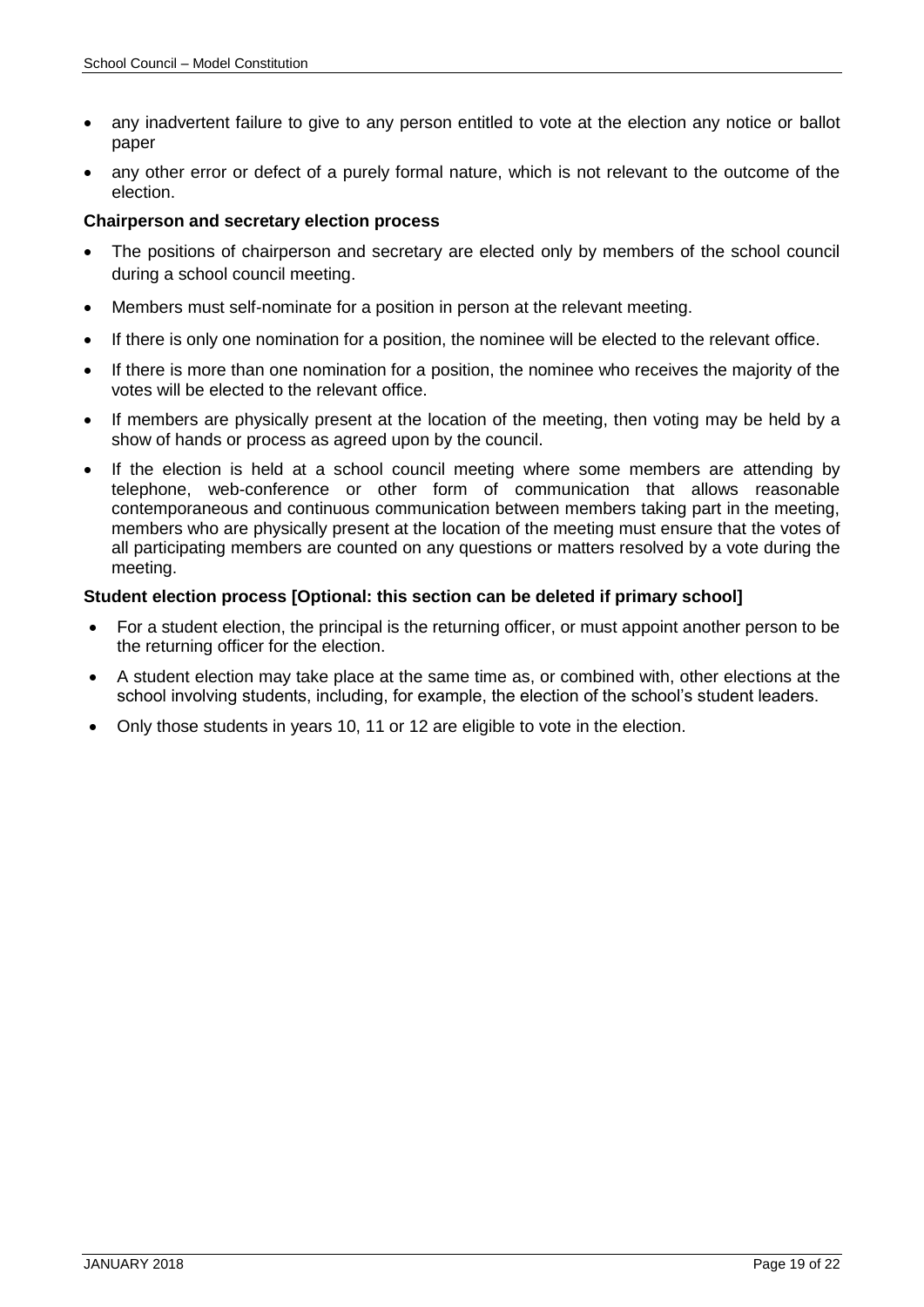- any inadvertent failure to give to any person entitled to vote at the election any notice or ballot paper
- any other error or defect of a purely formal nature, which is not relevant to the outcome of the election.

#### **Chairperson and secretary election process**

- The positions of chairperson and secretary are elected only by members of the school council during a school council meeting.
- Members must self-nominate for a position in person at the relevant meeting.
- If there is only one nomination for a position, the nominee will be elected to the relevant office.
- If there is more than one nomination for a position, the nominee who receives the majority of the votes will be elected to the relevant office.
- If members are physically present at the location of the meeting, then voting may be held by a show of hands or process as agreed upon by the council.
- If the election is held at a school council meeting where some members are attending by telephone, web-conference or other form of communication that allows reasonable contemporaneous and continuous communication between members taking part in the meeting, members who are physically present at the location of the meeting must ensure that the votes of all participating members are counted on any questions or matters resolved by a vote during the meeting.

#### **Student election process [Optional: this section can be deleted if primary school]**

- For a student election, the principal is the returning officer, or must appoint another person to be the returning officer for the election.
- A student election may take place at the same time as, or combined with, other elections at the school involving students, including, for example, the election of the school's student leaders.
- Only those students in years 10, 11 or 12 are eligible to vote in the election.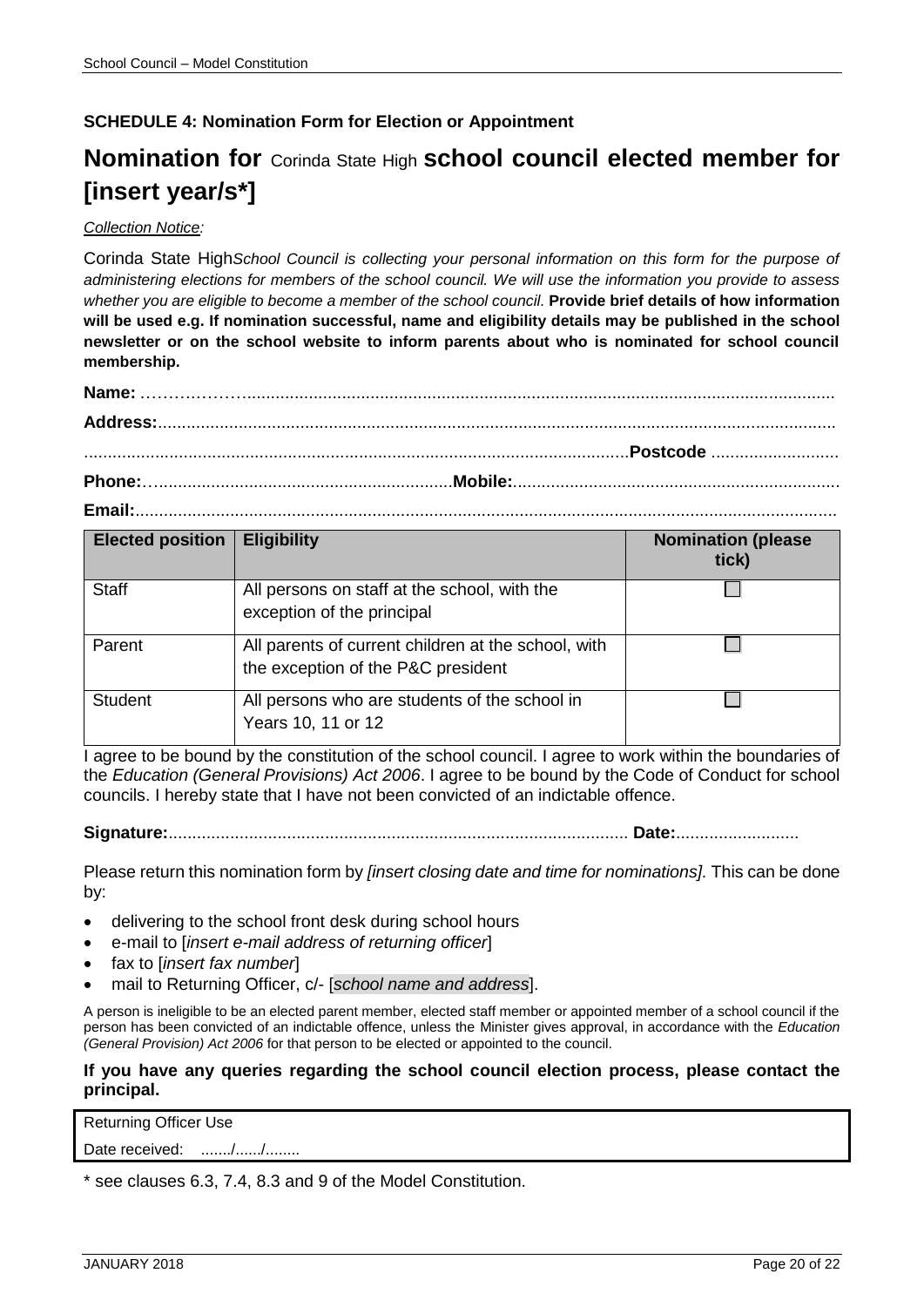# <span id="page-19-0"></span>**SCHEDULE 4: Nomination Form for Election or Appointment**

# **Nomination for** Corinda State High **school council elected member for [insert year/s\*]**

#### *Collection Notice:*

Corinda State High*School Council is collecting your personal information on this form for the purpose of administering elections for members of the school council. We will use the information you provide to assess whether you are eligible to become a member of the school council.* **Provide brief details of how information will be used e.g. If nomination successful, name and eligibility details may be published in the school newsletter or on the school website to inform parents about who is nominated for school council membership.**

| <b>Elected position</b> | <b>Eligibility</b>                                                                        | <b>Nomination (please</b><br>tick) |
|-------------------------|-------------------------------------------------------------------------------------------|------------------------------------|
| <b>Staff</b>            | All persons on staff at the school, with the<br>exception of the principal                |                                    |
| Parent                  | All parents of current children at the school, with<br>the exception of the P&C president |                                    |
| <b>Student</b>          | All persons who are students of the school in<br>Years 10, 11 or 12                       |                                    |

I agree to be bound by the constitution of the school council. I agree to work within the boundaries of the *Education (General Provisions) Act 2006*. I agree to be bound by the Code of Conduct for school councils. I hereby state that I have not been convicted of an indictable offence.

**Signature:**................................................................................................. **Date:**..........................

Please return this nomination form by *[insert closing date and time for nominations].* This can be done by:

- delivering to the school front desk during school hours
- e-mail to [*insert e-mail address of returning officer*]
- fax to [*insert fax number*]
- mail to Returning Officer, c/- [*school name and address*].

A person is ineligible to be an elected parent member, elected staff member or appointed member of a school council if the person has been convicted of an indictable offence, unless the Minister gives approval, in accordance with the *Education (General Provision) Act 2006* for that person to be elected or appointed to the council.

#### **If you have any queries regarding the school council election process, please contact the principal.**

Date received: ......./....../........

\* see clauses 6.3, 7.4, 8.3 and 9 of the Model Constitution.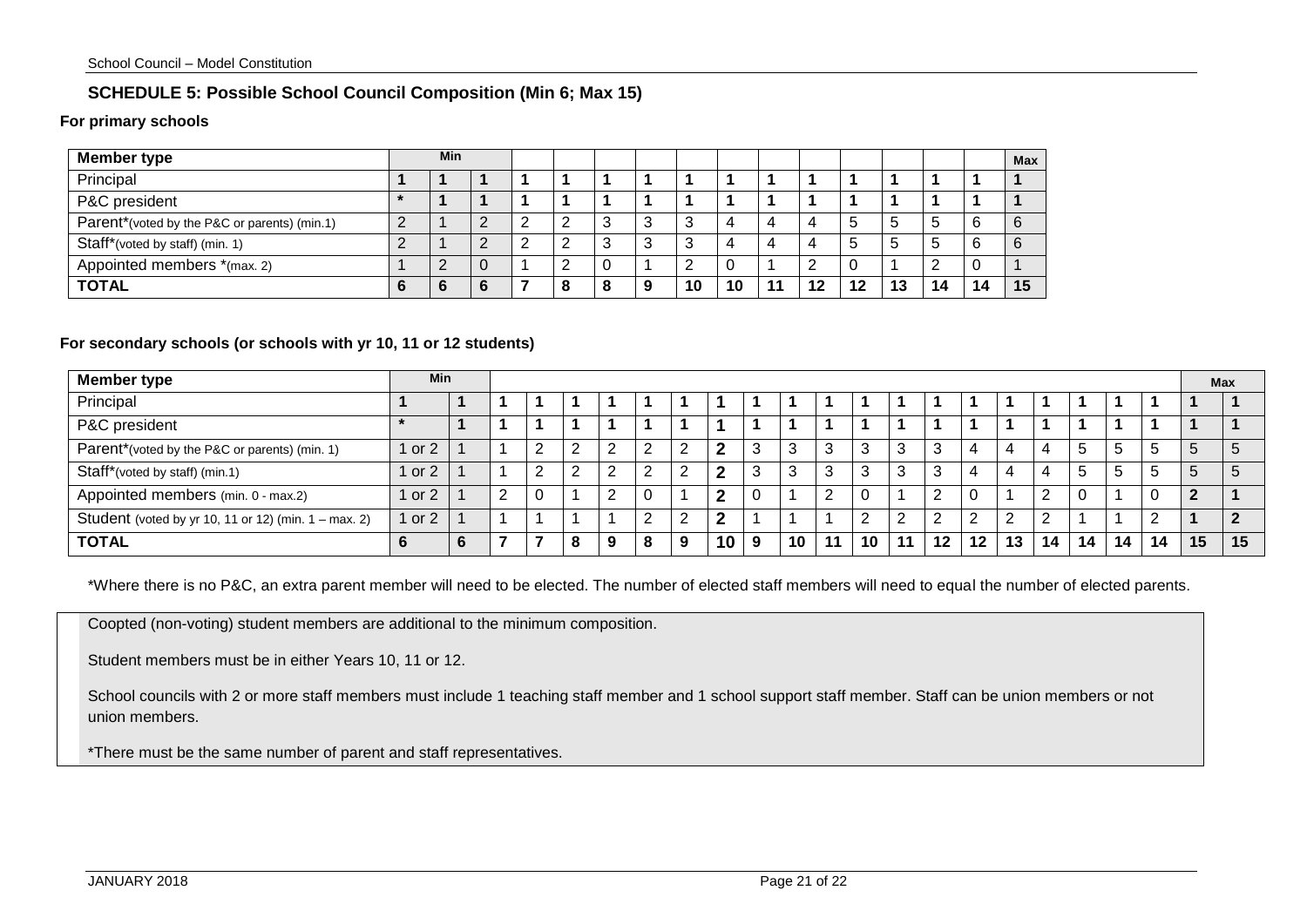#### **SCHEDULE 5: Possible School Council Composition (Min 6; Max 15)**

#### **For primary schools**

| Member type                                  |   | <b>Min</b> |   |  |   |   |   |    |     |    |    |    |    |    | Max |
|----------------------------------------------|---|------------|---|--|---|---|---|----|-----|----|----|----|----|----|-----|
| Principal                                    |   |            |   |  |   |   |   |    |     |    |    |    |    |    |     |
| P&C president                                |   |            |   |  |   |   |   |    |     |    |    |    |    |    |     |
| Parent*(voted by the P&C or parents) (min.1) | L |            |   |  |   | ົ | 3 | 3  |     |    | b  |    | -b |    | 6   |
| Staff*(voted by staff) (min. 1)              | ∸ |            |   |  |   | ◠ | 3 | 3  |     |    | 5  |    | .b | 6  | 6   |
| Appointed members *(max. 2)                  |   | n          | U |  |   |   |   | ∸  |     |    | υ  |    |    | u  |     |
| <b>TOTAL</b>                                 |   |            |   |  | o |   | 9 | 10 | ۱Ο. | 12 | 12 | 13 | 14 | 14 | 15  |

#### **For secondary schools (or schools with yr 10, 11 or 12 students)**

<span id="page-20-0"></span>

| <b>Member type</b>                                   |        | Min |  |  |        |        |    |   |             |   |         |    |    | Max |                 |    |    |    |    |    |   |             |    |
|------------------------------------------------------|--------|-----|--|--|--------|--------|----|---|-------------|---|---------|----|----|-----|-----------------|----|----|----|----|----|---|-------------|----|
| Principal                                            |        |     |  |  |        |        |    |   |             |   |         |    |    |     |                 |    |    |    |    |    |   |             |    |
| P&C president                                        |        |     |  |  |        |        |    |   |             |   |         |    |    |     |                 |    |    |    |    |    |   |             |    |
| Parent*(voted by the P&C or parents) (min. 1)        | 1 or 2 |     |  |  | ົ      | ົ<br>∠ | 2  | c | $\mathbf 2$ | 3 | $\cdot$ | 3  |    | 3   |                 |    |    |    |    |    | h | 5           | b  |
| Staff*(voted by staff) (min.1)                       | l or 2 |     |  |  | ົ<br>∸ | Ω<br>∠ | -2 |   | ົ           | 3 |         | 3  | n. | 3   |                 |    |    | 4  |    |    | h | $\mathbf b$ | b  |
| Appointed members (min. 0 - max.2)                   | 1 or 2 |     |  |  |        | າ      |    |   | ົ           | C |         | റ  |    |     |                 | U  |    |    |    |    |   |             |    |
| Student (voted by yr 10, 11 or 12) (min. 1 – max. 2) | 1 or 2 |     |  |  |        |        | 2  |   | ◠           |   |         |    | C. |     |                 | ົ  |    |    |    |    |   |             |    |
| <b>TOTAL</b>                                         |        |     |  |  | 8      | 9      | 8  | 9 | 10          | 9 | 10      | 11 | 10 |     | 12 <sup>1</sup> | 12 | 13 | 14 | 14 | 14 |   | 15          | 15 |

\*Where there is no P&C, an extra parent member will need to be elected. The number of elected staff members will need to equal the number of elected parents.

Coopted (non-voting) student members are additional to the minimum composition.

Student members must be in either Years 10, 11 or 12.

School councils with 2 or more staff members must include 1 teaching staff member and 1 school support staff member. Staff can be union members or not union members.

\*There must be the same number of parent and staff representatives.